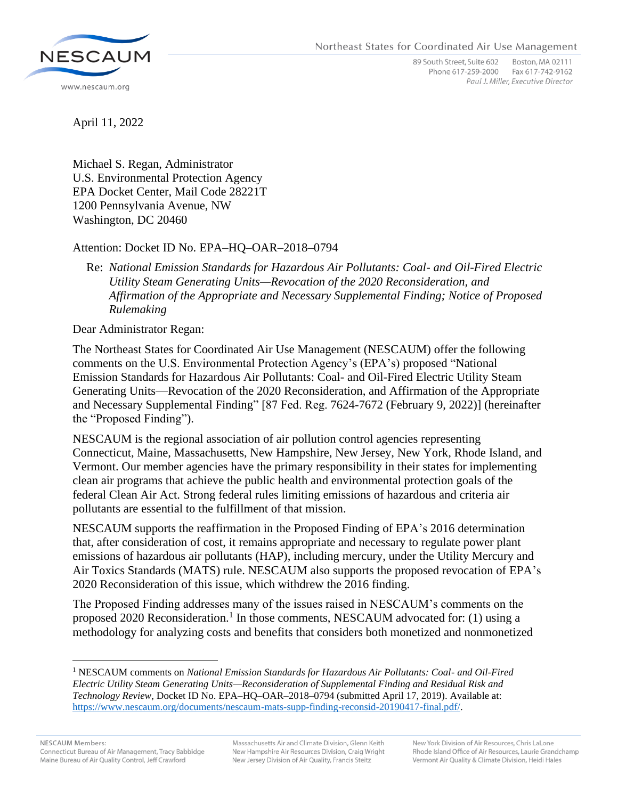Northeast States for Coordinated Air Use Management



89 South Street, Suite 602 Boston, MA 02111 Phone 617-259-2000 Fax 617-742-9162 Paul J. Miller, Executive Director

April 11, 2022

Michael S. Regan, Administrator U.S. Environmental Protection Agency EPA Docket Center, Mail Code 28221T 1200 Pennsylvania Avenue, NW Washington, DC 20460

## Attention: Docket ID No. EPA–HQ–OAR–2018–0794

## Re: *National Emission Standards for Hazardous Air Pollutants: Coal- and Oil-Fired Electric Utility Steam Generating Units—Revocation of the 2020 Reconsideration, and Affirmation of the Appropriate and Necessary Supplemental Finding; Notice of Proposed Rulemaking*

Dear Administrator Regan:

The Northeast States for Coordinated Air Use Management (NESCAUM) offer the following comments on the U.S. Environmental Protection Agency's (EPA's) proposed "National Emission Standards for Hazardous Air Pollutants: Coal- and Oil-Fired Electric Utility Steam Generating Units—Revocation of the 2020 Reconsideration, and Affirmation of the Appropriate and Necessary Supplemental Finding" [87 Fed. Reg. 7624-7672 (February 9, 2022)] (hereinafter the "Proposed Finding").

NESCAUM is the regional association of air pollution control agencies representing Connecticut, Maine, Massachusetts, New Hampshire, New Jersey, New York, Rhode Island, and Vermont. Our member agencies have the primary responsibility in their states for implementing clean air programs that achieve the public health and environmental protection goals of the federal Clean Air Act. Strong federal rules limiting emissions of hazardous and criteria air pollutants are essential to the fulfillment of that mission.

NESCAUM supports the reaffirmation in the Proposed Finding of EPA's 2016 determination that, after consideration of cost, it remains appropriate and necessary to regulate power plant emissions of hazardous air pollutants (HAP), including mercury, under the Utility Mercury and Air Toxics Standards (MATS) rule. NESCAUM also supports the proposed revocation of EPA's 2020 Reconsideration of this issue, which withdrew the 2016 finding.

The Proposed Finding addresses many of the issues raised in NESCAUM's comments on the proposed 2020 Reconsideration.<sup>1</sup> In those comments, NESCAUM advocated for: (1) using a methodology for analyzing costs and benefits that considers both monetized and nonmonetized

<sup>1</sup> NESCAUM comments on *National Emission Standards for Hazardous Air Pollutants: Coal- and Oil-Fired Electric Utility Steam Generating Units—Reconsideration of Supplemental Finding and Residual Risk and Technology Review*, Docket ID No. EPA–HQ–OAR–2018–0794 (submitted April 17, 2019). Available at: [https://www.nescaum.org/documents/nescaum-mats-supp-finding-reconsid-20190417-final.pdf/.](https://www.nescaum.org/documents/nescaum-mats-supp-finding-reconsid-20190417-final.pdf/)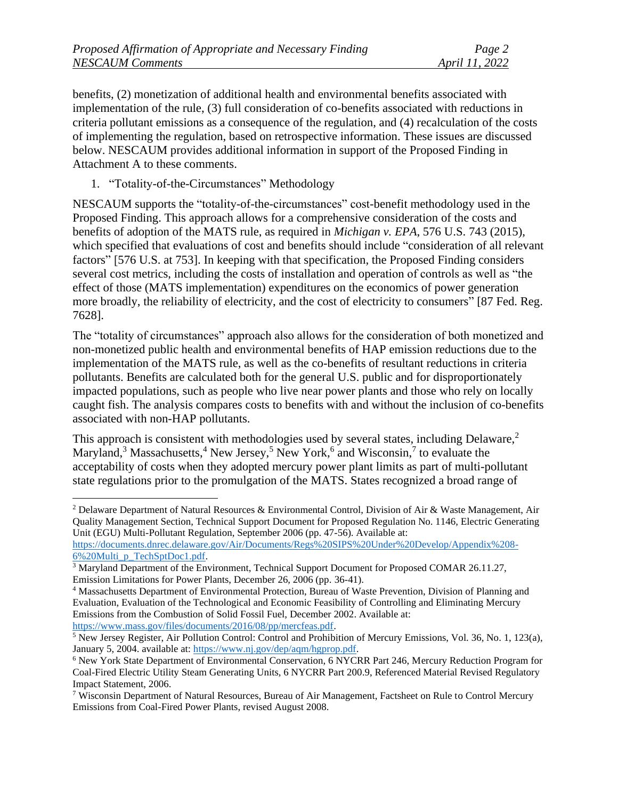benefits, (2) monetization of additional health and environmental benefits associated with implementation of the rule, (3) full consideration of co-benefits associated with reductions in criteria pollutant emissions as a consequence of the regulation, and (4) recalculation of the costs of implementing the regulation, based on retrospective information. These issues are discussed below. NESCAUM provides additional information in support of the Proposed Finding in Attachment A to these comments.

1. "Totality-of-the-Circumstances" Methodology

NESCAUM supports the "totality-of-the-circumstances" cost-benefit methodology used in the Proposed Finding. This approach allows for a comprehensive consideration of the costs and benefits of adoption of the MATS rule, as required in *Michigan v. EPA*, 576 U.S. 743 (2015), which specified that evaluations of cost and benefits should include "consideration of all relevant factors" [576 U.S. at 753]. In keeping with that specification, the Proposed Finding considers several cost metrics, including the costs of installation and operation of controls as well as "the effect of those (MATS implementation) expenditures on the economics of power generation more broadly, the reliability of electricity, and the cost of electricity to consumers" [87 Fed. Reg. 7628].

The "totality of circumstances" approach also allows for the consideration of both monetized and non-monetized public health and environmental benefits of HAP emission reductions due to the implementation of the MATS rule, as well as the co-benefits of resultant reductions in criteria pollutants. Benefits are calculated both for the general U.S. public and for disproportionately impacted populations, such as people who live near power plants and those who rely on locally caught fish. The analysis compares costs to benefits with and without the inclusion of co-benefits associated with non-HAP pollutants.

This approach is consistent with methodologies used by several states, including Delaware,<sup>2</sup> Maryland,<sup>3</sup> Massachusetts,<sup>4</sup> New Jersey,<sup>5</sup> New York,<sup>6</sup> and Wisconsin,<sup>7</sup> to evaluate the acceptability of costs when they adopted mercury power plant limits as part of multi-pollutant state regulations prior to the promulgation of the MATS. States recognized a broad range of

<sup>2</sup> Delaware Department of Natural Resources & Environmental Control, Division of Air & Waste Management, Air Quality Management Section, Technical Support Document for Proposed Regulation No. 1146, Electric Generating Unit (EGU) Multi-Pollutant Regulation, September 2006 (pp. 47-56). Available at:

[https://documents.dnrec.delaware.gov/Air/Documents/Regs%20SIPS%20Under%20Develop/Appendix%208-](https://documents.dnrec.delaware.gov/Air/Documents/Regs%20SIPS%20Under%20Develop/Appendix%208-6%20Multi_p_TechSptDoc1.pdf) [6%20Multi\\_p\\_TechSptDoc1.pdf.](https://documents.dnrec.delaware.gov/Air/Documents/Regs%20SIPS%20Under%20Develop/Appendix%208-6%20Multi_p_TechSptDoc1.pdf)

<sup>3</sup> Maryland Department of the Environment, Technical Support Document for Proposed COMAR 26.11.27, Emission Limitations for Power Plants, December 26, 2006 (pp. 36-41).

<sup>4</sup> Massachusetts Department of Environmental Protection, Bureau of Waste Prevention, Division of Planning and Evaluation, Evaluation of the Technological and Economic Feasibility of Controlling and Eliminating Mercury Emissions from the Combustion of Solid Fossil Fuel, December 2002. Available at: [https://www.mass.gov/files/documents/2016/08/pp/mercfeas.pdf.](https://www.mass.gov/files/documents/2016/08/pp/mercfeas.pdf)

<sup>5</sup> New Jersey Register, Air Pollution Control: Control and Prohibition of Mercury Emissions, Vol. 36, No. 1, 123(a), January 5, 2004. available at[: https://www.nj.gov/dep/aqm/hgprop.pdf.](https://www.nj.gov/dep/aqm/hgprop.pdf)

<sup>6</sup> New York State Department of Environmental Conservation, 6 NYCRR Part 246, Mercury Reduction Program for Coal-Fired Electric Utility Steam Generating Units, 6 NYCRR Part 200.9, Referenced Material Revised Regulatory Impact Statement, 2006.

<sup>7</sup> Wisconsin Department of Natural Resources, Bureau of Air Management, Factsheet on Rule to Control Mercury Emissions from Coal-Fired Power Plants, revised August 2008.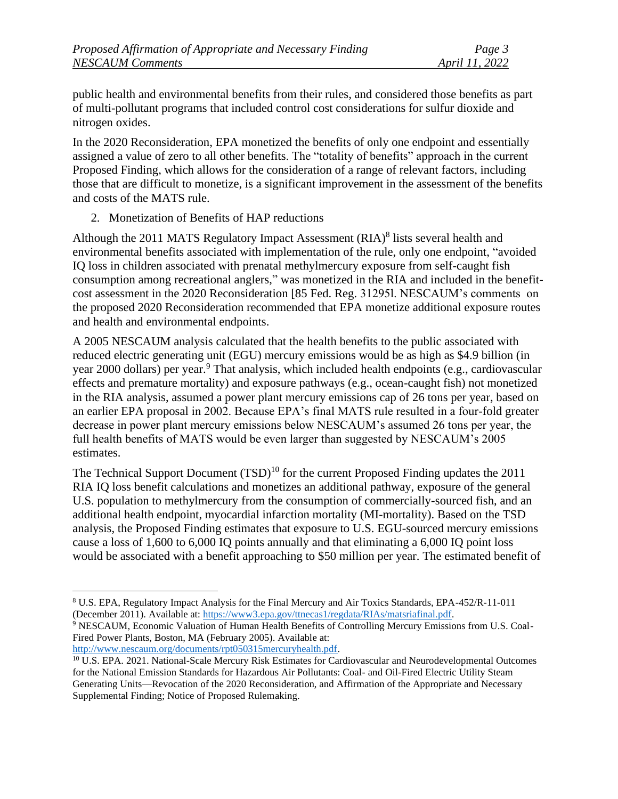public health and environmental benefits from their rules, and considered those benefits as part of multi-pollutant programs that included control cost considerations for sulfur dioxide and nitrogen oxides.

In the 2020 Reconsideration, EPA monetized the benefits of only one endpoint and essentially assigned a value of zero to all other benefits. The "totality of benefits" approach in the current Proposed Finding, which allows for the consideration of a range of relevant factors, including those that are difficult to monetize, is a significant improvement in the assessment of the benefits and costs of the MATS rule.

2. Monetization of Benefits of HAP reductions

Although the 2011 MATS Regulatory Impact Assessment  $(RIA)^8$  lists several health and environmental benefits associated with implementation of the rule, only one endpoint, "avoided IQ loss in children associated with prenatal methylmercury exposure from self-caught fish consumption among recreational anglers," was monetized in the RIA and included in the benefitcost assessment in the 2020 Reconsideration [85 Fed. Reg. 31295l. NESCAUM's comments on the proposed 2020 Reconsideration recommended that EPA monetize additional exposure routes and health and environmental endpoints.

A 2005 NESCAUM analysis calculated that the health benefits to the public associated with reduced electric generating unit (EGU) mercury emissions would be as high as \$4.9 billion (in year 2000 dollars) per year.<sup>9</sup> That analysis, which included health endpoints (e.g., cardiovascular effects and premature mortality) and exposure pathways (e.g., ocean-caught fish) not monetized in the RIA analysis, assumed a power plant mercury emissions cap of 26 tons per year, based on an earlier EPA proposal in 2002. Because EPA's final MATS rule resulted in a four-fold greater decrease in power plant mercury emissions below NESCAUM's assumed 26 tons per year, the full health benefits of MATS would be even larger than suggested by NESCAUM's 2005 estimates.

The Technical Support Document  $(TSD)^{10}$  for the current Proposed Finding updates the 2011 RIA IQ loss benefit calculations and monetizes an additional pathway, exposure of the general U.S. population to methylmercury from the consumption of commercially-sourced fish, and an additional health endpoint, myocardial infarction mortality (MI-mortality). Based on the TSD analysis, the Proposed Finding estimates that exposure to U.S. EGU-sourced mercury emissions cause a loss of 1,600 to 6,000 IQ points annually and that eliminating a 6,000 IQ point loss would be associated with a benefit approaching to \$50 million per year. The estimated benefit of

<sup>8</sup> U.S. EPA, Regulatory Impact Analysis for the Final Mercury and Air Toxics Standards, EPA-452/R-11-011 (December 2011). Available at: [https://www3.epa.gov/ttnecas1/regdata/RIAs/matsriafinal.pdf.](https://www3.epa.gov/ttnecas1/regdata/RIAs/matsriafinal.pdf)

<sup>9</sup> NESCAUM, Economic Valuation of Human Health Benefits of Controlling Mercury Emissions from U.S. Coal-Fired Power Plants, Boston, MA (February 2005). Available at:

[http://www.nescaum.org/documents/rpt050315mercuryhealth.pdf.](http://www.nescaum.org/documents/rpt050315mercuryhealth.pdf)

<sup>&</sup>lt;sup>10</sup> U.S. EPA. 2021. National-Scale Mercury Risk Estimates for Cardiovascular and Neurodevelopmental Outcomes for the National Emission Standards for Hazardous Air Pollutants: Coal- and Oil-Fired Electric Utility Steam Generating Units—Revocation of the 2020 Reconsideration, and Affirmation of the Appropriate and Necessary Supplemental Finding; Notice of Proposed Rulemaking.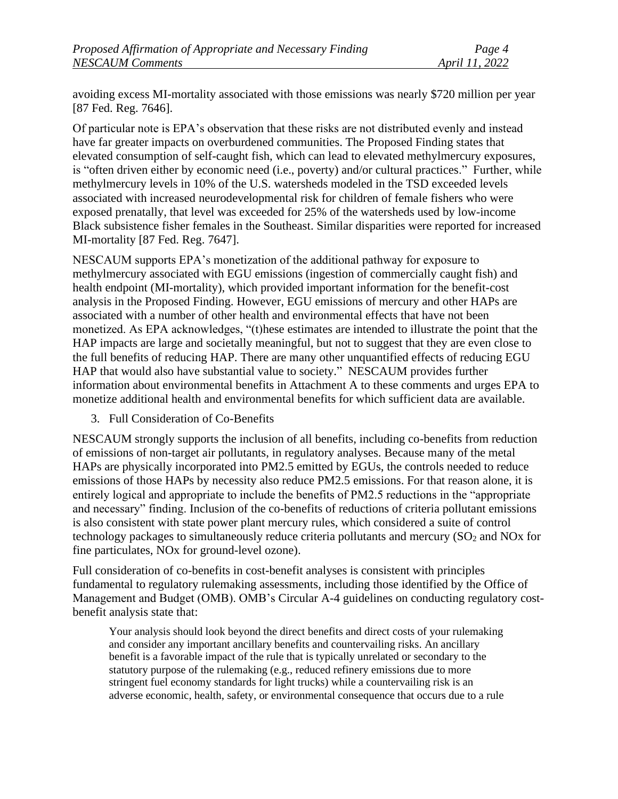avoiding excess MI-mortality associated with those emissions was nearly \$720 million per year [87 Fed. Reg. 7646].

Of particular note is EPA's observation that these risks are not distributed evenly and instead have far greater impacts on overburdened communities. The Proposed Finding states that elevated consumption of self-caught fish, which can lead to elevated methylmercury exposures, is "often driven either by economic need (i.e., poverty) and/or cultural practices." Further, while methylmercury levels in 10% of the U.S. watersheds modeled in the TSD exceeded levels associated with increased neurodevelopmental risk for children of female fishers who were exposed prenatally, that level was exceeded for 25% of the watersheds used by low-income Black subsistence fisher females in the Southeast. Similar disparities were reported for increased MI-mortality [87 Fed. Reg. 7647].

NESCAUM supports EPA's monetization of the additional pathway for exposure to methylmercury associated with EGU emissions (ingestion of commercially caught fish) and health endpoint (MI-mortality), which provided important information for the benefit-cost analysis in the Proposed Finding. However, EGU emissions of mercury and other HAPs are associated with a number of other health and environmental effects that have not been monetized. As EPA acknowledges, "(t)hese estimates are intended to illustrate the point that the HAP impacts are large and societally meaningful, but not to suggest that they are even close to the full benefits of reducing HAP. There are many other unquantified effects of reducing EGU HAP that would also have substantial value to society." NESCAUM provides further information about environmental benefits in Attachment A to these comments and urges EPA to monetize additional health and environmental benefits for which sufficient data are available.

3. Full Consideration of Co-Benefits

NESCAUM strongly supports the inclusion of all benefits, including co-benefits from reduction of emissions of non-target air pollutants, in regulatory analyses. Because many of the metal HAPs are physically incorporated into PM2.5 emitted by EGUs, the controls needed to reduce emissions of those HAPs by necessity also reduce PM2.5 emissions. For that reason alone, it is entirely logical and appropriate to include the benefits of PM2.5 reductions in the "appropriate and necessary" finding. Inclusion of the co-benefits of reductions of criteria pollutant emissions is also consistent with state power plant mercury rules, which considered a suite of control technology packages to simultaneously reduce criteria pollutants and mercury  $(SO<sub>2</sub>$  and NOx for fine particulates, NOx for ground-level ozone).

Full consideration of co-benefits in cost-benefit analyses is consistent with principles fundamental to regulatory rulemaking assessments, including those identified by the Office of Management and Budget (OMB). OMB's Circular A-4 guidelines on conducting regulatory costbenefit analysis state that:

Your analysis should look beyond the direct benefits and direct costs of your rulemaking and consider any important ancillary benefits and countervailing risks. An ancillary benefit is a favorable impact of the rule that is typically unrelated or secondary to the statutory purpose of the rulemaking (e.g., reduced refinery emissions due to more stringent fuel economy standards for light trucks) while a countervailing risk is an adverse economic, health, safety, or environmental consequence that occurs due to a rule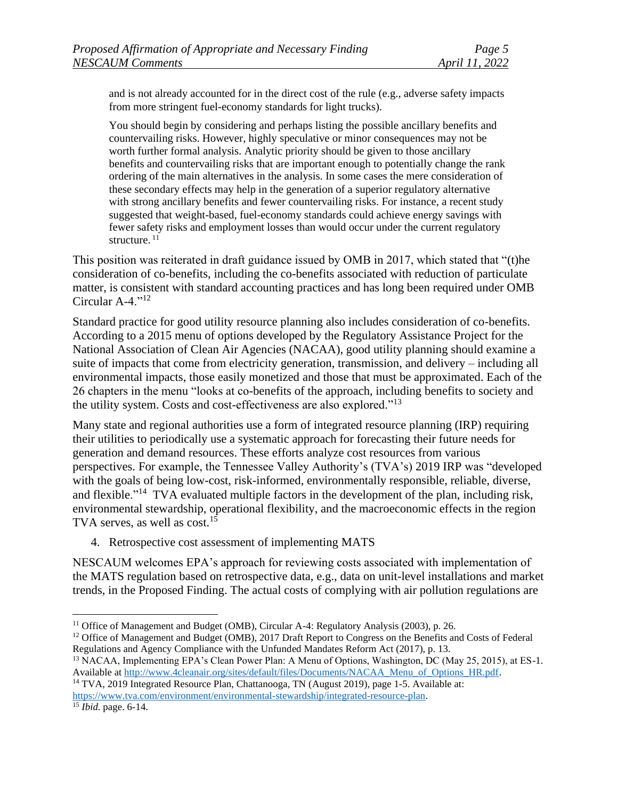and is not already accounted for in the direct cost of the rule (e.g., adverse safety impacts from more stringent fuel-economy standards for light trucks).

You should begin by considering and perhaps listing the possible ancillary benefits and countervailing risks. However, highly speculative or minor consequences may not be worth further formal analysis. Analytic priority should be given to those ancillary benefits and countervailing risks that are important enough to potentially change the rank ordering of the main alternatives in the analysis. In some cases the mere consideration of these secondary effects may help in the generation of a superior regulatory alternative with strong ancillary benefits and fewer countervailing risks. For instance, a recent study suggested that weight-based, fuel-economy standards could achieve energy savings with fewer safety risks and employment losses than would occur under the current regulatory structure.  $^{11}$ 

This position was reiterated in draft guidance issued by OMB in 2017, which stated that "(t)he consideration of co-benefits, including the co-benefits associated with reduction of particulate matter, is consistent with standard accounting practices and has long been required under OMB Circular A-4."<sup>12</sup>

Standard practice for good utility resource planning also includes consideration of co-benefits. According to a 2015 menu of options developed by the Regulatory Assistance Project for the National Association of Clean Air Agencies (NACAA), good utility planning should examine a suite of impacts that come from electricity generation, transmission, and delivery – including all environmental impacts, those easily monetized and those that must be approximated. Each of the 26 chapters in the menu "looks at co-benefits of the approach, including benefits to society and the utility system. Costs and cost-effectiveness are also explored."<sup>13</sup>

Many state and regional authorities use a form of integrated resource planning (IRP) requiring their utilities to periodically use a systematic approach for forecasting their future needs for generation and demand resources. These efforts analyze cost resources from various perspectives. For example, the Tennessee Valley Authority's (TVA's) 2019 IRP was "developed with the goals of being low-cost, risk-informed, environmentally responsible, reliable, diverse, and flexible."<sup>14</sup> TVA evaluated multiple factors in the development of the plan, including risk, environmental stewardship, operational flexibility, and the macroeconomic effects in the region TVA serves, as well as cost.<sup>15</sup>

4. Retrospective cost assessment of implementing MATS

NESCAUM welcomes EPA's approach for reviewing costs associated with implementation of the MATS regulation based on retrospective data, e.g., data on unit-level installations and market trends, in the Proposed Finding. The actual costs of complying with air pollution regulations are

<sup>&</sup>lt;sup>11</sup> Office of Management and Budget (OMB), Circular A-4: Regulatory Analysis (2003), p. 26.

<sup>&</sup>lt;sup>12</sup> Office of Management and Budget (OMB), 2017 Draft Report to Congress on the Benefits and Costs of Federal Regulations and Agency Compliance with the Unfunded Mandates Reform Act (2017), p. 13.

<sup>&</sup>lt;sup>13</sup> NACAA, Implementing EPA's Clean Power Plan: A Menu of Options, Washington, DC (May 25, 2015), at ES-1. Available at [http://www.4cleanair.org/sites/default/files/Documents/NACAA\\_Menu\\_of\\_Options\\_HR.pdf.](http://www.4cleanair.org/sites/default/files/Documents/NACAA_Menu_of_Options_HR.pdf) <sup>14</sup> TVA, 2019 Integrated Resource Plan, Chattanooga, TN (August 2019), page 1-5. Available at:

[https://www.tva.com/environment/environmental-stewardship/integrated-resource-plan.](https://www.tva.com/environment/environmental-stewardship/integrated-resource-plan)

<sup>15</sup> *Ibid.* page. 6-14.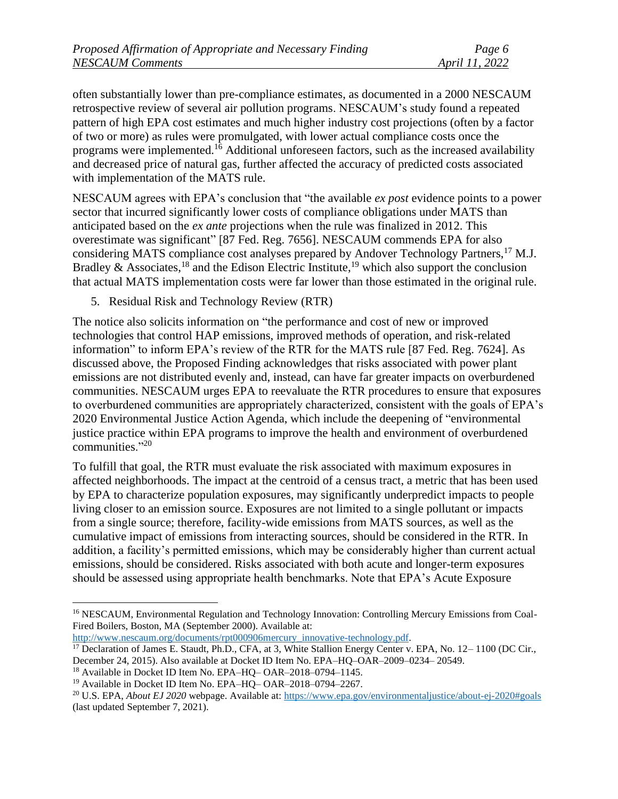often substantially lower than pre-compliance estimates, as documented in a 2000 NESCAUM retrospective review of several air pollution programs. NESCAUM's study found a repeated pattern of high EPA cost estimates and much higher industry cost projections (often by a factor of two or more) as rules were promulgated, with lower actual compliance costs once the programs were implemented.<sup>16</sup> Additional unforeseen factors, such as the increased availability and decreased price of natural gas, further affected the accuracy of predicted costs associated with implementation of the MATS rule.

NESCAUM agrees with EPA's conclusion that "the available *ex post* evidence points to a power sector that incurred significantly lower costs of compliance obligations under MATS than anticipated based on the *ex ante* projections when the rule was finalized in 2012. This overestimate was significant" [87 Fed. Reg. 7656]. NESCAUM commends EPA for also considering MATS compliance cost analyses prepared by Andover Technology Partners,<sup>17</sup> M.J. Bradley & Associates,<sup>18</sup> and the Edison Electric Institute,<sup>19</sup> which also support the conclusion that actual MATS implementation costs were far lower than those estimated in the original rule.

5. Residual Risk and Technology Review (RTR)

The notice also solicits information on "the performance and cost of new or improved technologies that control HAP emissions, improved methods of operation, and risk-related information" to inform EPA's review of the RTR for the MATS rule [87 Fed. Reg. 7624]. As discussed above, the Proposed Finding acknowledges that risks associated with power plant emissions are not distributed evenly and, instead, can have far greater impacts on overburdened communities. NESCAUM urges EPA to reevaluate the RTR procedures to ensure that exposures to overburdened communities are appropriately characterized, consistent with the goals of EPA's 2020 Environmental Justice Action Agenda, which include the deepening of "environmental justice practice within EPA programs to improve the health and environment of overburdened communities."<sup>20</sup>

To fulfill that goal, the RTR must evaluate the risk associated with maximum exposures in affected neighborhoods. The impact at the centroid of a census tract, a metric that has been used by EPA to characterize population exposures, may significantly underpredict impacts to people living closer to an emission source. Exposures are not limited to a single pollutant or impacts from a single source; therefore, facility-wide emissions from MATS sources, as well as the cumulative impact of emissions from interacting sources, should be considered in the RTR. In addition, a facility's permitted emissions, which may be considerably higher than current actual emissions, should be considered. Risks associated with both acute and longer-term exposures should be assessed using appropriate health benchmarks. Note that EPA's Acute Exposure

[http://www.nescaum.org/documents/rpt000906mercury\\_innovative-technology.pdf.](http://www.nescaum.org/documents/rpt000906mercury_innovative-technology.pdf)

<sup>&</sup>lt;sup>16</sup> NESCAUM, Environmental Regulation and Technology Innovation: Controlling Mercury Emissions from Coal-Fired Boilers, Boston, MA (September 2000). Available at:

<sup>&</sup>lt;sup>17</sup> Declaration of James E. Staudt, Ph.D., CFA, at 3, White Stallion Energy Center v. EPA, No. 12–1100 (DC Cir., December 24, 2015). Also available at Docket ID Item No. EPA–HQ–OAR–2009–0234– 20549.

<sup>18</sup> Available in Docket ID Item No. EPA–HQ– OAR–2018–0794–1145.

<sup>&</sup>lt;sup>19</sup> Available in Docket ID Item No. EPA–HO– OAR–2018–0794–2267.

<sup>20</sup> U.S. EPA, *About EJ 2020* webpage. Available at:<https://www.epa.gov/environmentaljustice/about-ej-2020#goals> (last updated September 7, 2021).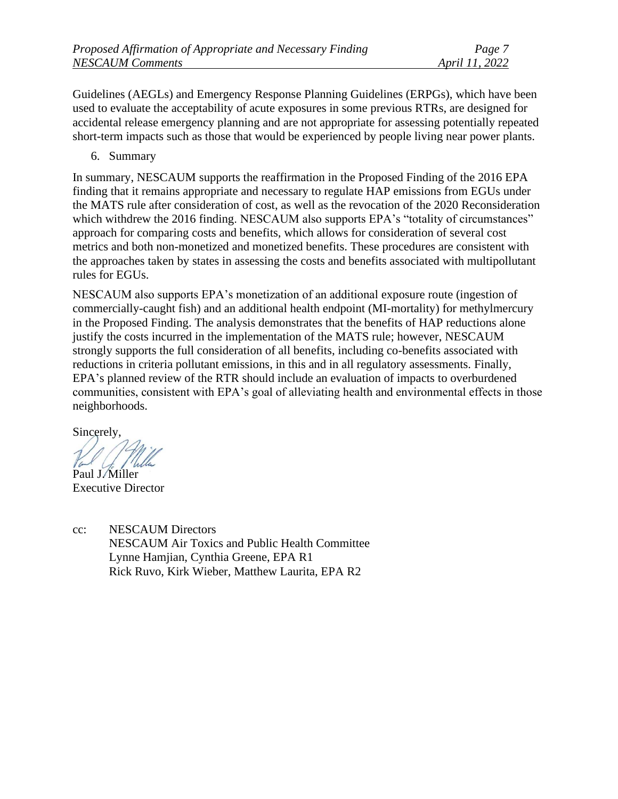Guidelines (AEGLs) and Emergency Response Planning Guidelines (ERPGs), which have been used to evaluate the acceptability of acute exposures in some previous RTRs, are designed for accidental release emergency planning and are not appropriate for assessing potentially repeated short-term impacts such as those that would be experienced by people living near power plants.

6. Summary

In summary, NESCAUM supports the reaffirmation in the Proposed Finding of the 2016 EPA finding that it remains appropriate and necessary to regulate HAP emissions from EGUs under the MATS rule after consideration of cost, as well as the revocation of the 2020 Reconsideration which withdrew the 2016 finding. NESCAUM also supports EPA's "totality of circumstances" approach for comparing costs and benefits, which allows for consideration of several cost metrics and both non-monetized and monetized benefits. These procedures are consistent with the approaches taken by states in assessing the costs and benefits associated with multipollutant rules for EGUs.

NESCAUM also supports EPA's monetization of an additional exposure route (ingestion of commercially-caught fish) and an additional health endpoint (MI-mortality) for methylmercury in the Proposed Finding. The analysis demonstrates that the benefits of HAP reductions alone justify the costs incurred in the implementation of the MATS rule; however, NESCAUM strongly supports the full consideration of all benefits, including co-benefits associated with reductions in criteria pollutant emissions, in this and in all regulatory assessments. Finally, EPA's planned review of the RTR should include an evaluation of impacts to overburdened communities, consistent with EPA's goal of alleviating health and environmental effects in those neighborhoods.

Sincerely,

Paul J. Miller

Executive Director

cc: NESCAUM Directors NESCAUM Air Toxics and Public Health Committee Lynne Hamjian, Cynthia Greene, EPA R1 Rick Ruvo, Kirk Wieber, Matthew Laurita, EPA R2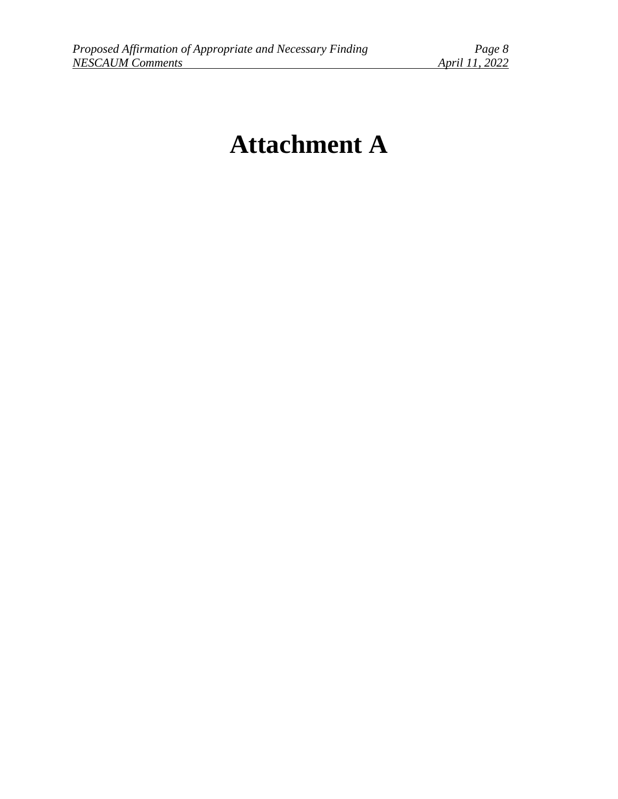# **Attachment A**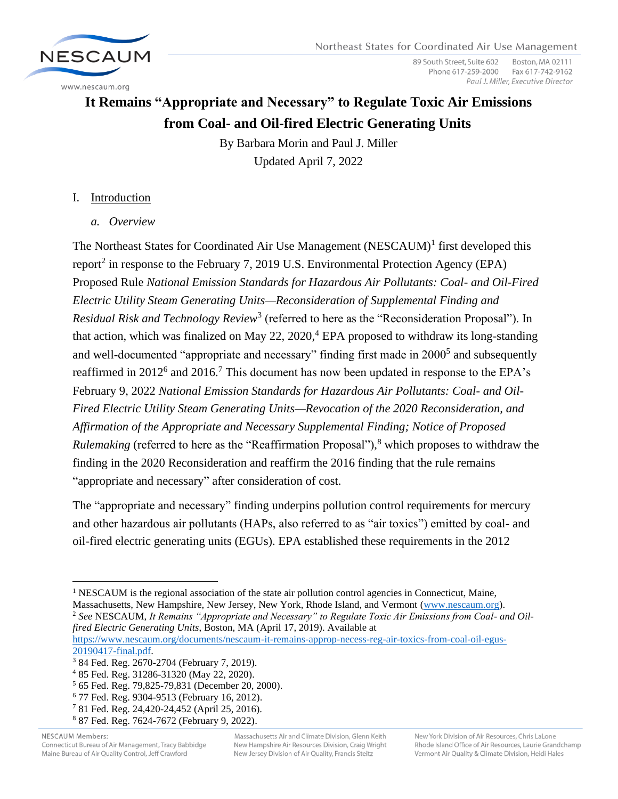

89 South Street, Suite 602 Boston, MA 02111 Phone 617-259-2000 Fax 617-742-9162 Paul J. Miller, Executive Director

# **It Remains "Appropriate and Necessary" to Regulate Toxic Air Emissions from Coal- and Oil-fired Electric Generating Units**

By Barbara Morin and Paul J. Miller Updated April 7, 2022

# I. Introduction

*a. Overview*

The Northeast States for Coordinated Air Use Management (NESCAUM)<sup>1</sup> first developed this report<sup>2</sup> in response to the February 7, 2019 U.S. Environmental Protection Agency (EPA) Proposed Rule *National Emission Standards for Hazardous Air Pollutants: Coal- and Oil-Fired Electric Utility Steam Generating Units—Reconsideration of Supplemental Finding and*  Residual Risk and Technology Review<sup>3</sup> (referred to here as the "Reconsideration Proposal"). In that action, which was finalized on May 22,  $2020<sup>4</sup>$  EPA proposed to withdraw its long-standing and well-documented "appropriate and necessary" finding first made in  $2000<sup>5</sup>$  and subsequently reaffirmed in 2012<sup>6</sup> and 2016.<sup>7</sup> This document has now been updated in response to the EPA's February 9, 2022 *National Emission Standards for Hazardous Air Pollutants: Coal- and Oil-Fired Electric Utility Steam Generating Units—Revocation of the 2020 Reconsideration, and Affirmation of the Appropriate and Necessary Supplemental Finding; Notice of Proposed Rulemaking* (referred to here as the "Reaffirmation Proposal"), <sup>8</sup> which proposes to withdraw the finding in the 2020 Reconsideration and reaffirm the 2016 finding that the rule remains "appropriate and necessary" after consideration of cost.

The "appropriate and necessary" finding underpins pollution control requirements for mercury and other hazardous air pollutants (HAPs, also referred to as "air toxics") emitted by coal- and oil-fired electric generating units (EGUs). EPA established these requirements in the 2012

[https://www.nescaum.org/documents/nescaum-it-remains-approp-necess-reg-air-toxics-from-coal-oil-egus-](https://www.nescaum.org/documents/nescaum-it-remains-approp-necess-reg-air-toxics-from-coal-oil-egus-20190417-final.pdf)[20190417-final.pdf.](https://www.nescaum.org/documents/nescaum-it-remains-approp-necess-reg-air-toxics-from-coal-oil-egus-20190417-final.pdf)

<sup>8</sup> 87 Fed. Reg. 7624-7672 (February 9, 2022).

NESCAUM Members: Connecticut Bureau of Air Management, Tracy Babbidge Maine Bureau of Air Quality Control, Jeff Crawford

Massachusetts Air and Climate Division, Glenn Keith New Hampshire Air Resources Division, Craig Wright New Jersey Division of Air Quality, Francis Steitz

<sup>&</sup>lt;sup>1</sup> NESCAUM is the regional association of the state air pollution control agencies in Connecticut, Maine, Massachusetts, New Hampshire, New Jersey, New York, Rhode Island, and Vermont [\(www.nescaum.org\)](http://www.nescaum.org/). <sup>2</sup> *See* NESCAUM, *It Remains "Appropriate and Necessary" to Regulate Toxic Air Emissions from Coal- and Oilfired Electric Generating Units*, Boston, MA (April 17, 2019). Available at

<sup>3</sup> 84 Fed. Reg. 2670-2704 (February 7, 2019).

<sup>4</sup> 85 Fed. Reg. 31286-31320 (May 22, 2020).

<sup>5</sup> 65 Fed. Reg. 79,825-79,831 (December 20, 2000).

<sup>6</sup> 77 Fed. Reg. 9304-9513 (February 16, 2012).

<sup>7</sup> 81 Fed. Reg. 24,420-24,452 (April 25, 2016).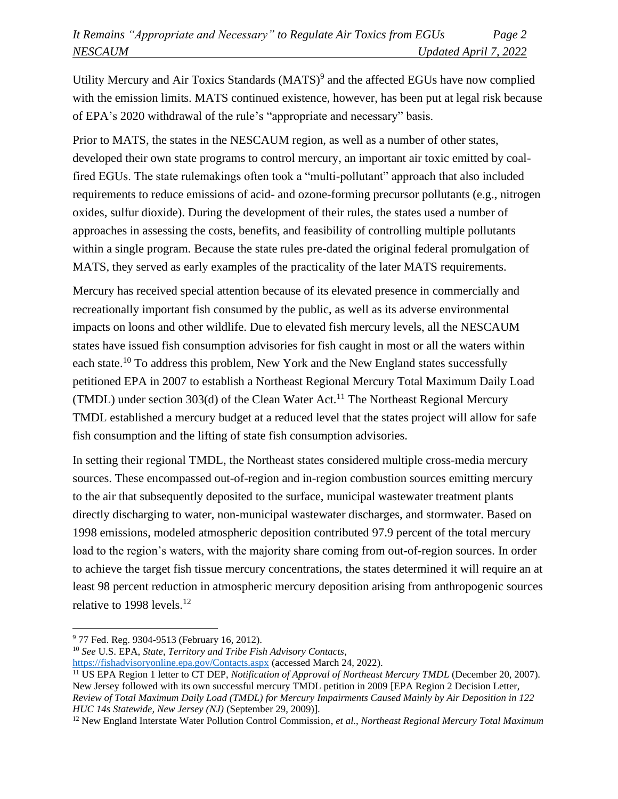Utility Mercury and Air Toxics Standards (MATS)<sup>9</sup> and the affected EGUs have now complied with the emission limits. MATS continued existence, however, has been put at legal risk because of EPA's 2020 withdrawal of the rule's "appropriate and necessary" basis.

Prior to MATS, the states in the NESCAUM region, as well as a number of other states, developed their own state programs to control mercury, an important air toxic emitted by coalfired EGUs. The state rulemakings often took a "multi-pollutant" approach that also included requirements to reduce emissions of acid- and ozone-forming precursor pollutants (e.g., nitrogen oxides, sulfur dioxide). During the development of their rules, the states used a number of approaches in assessing the costs, benefits, and feasibility of controlling multiple pollutants within a single program. Because the state rules pre-dated the original federal promulgation of MATS, they served as early examples of the practicality of the later MATS requirements.

Mercury has received special attention because of its elevated presence in commercially and recreationally important fish consumed by the public, as well as its adverse environmental impacts on loons and other wildlife. Due to elevated fish mercury levels, all the NESCAUM states have issued fish consumption advisories for fish caught in most or all the waters within each state.<sup>10</sup> To address this problem, New York and the New England states successfully petitioned EPA in 2007 to establish a Northeast Regional Mercury Total Maximum Daily Load (TMDL) under section 303(d) of the Clean Water Act.<sup>11</sup> The Northeast Regional Mercury TMDL established a mercury budget at a reduced level that the states project will allow for safe fish consumption and the lifting of state fish consumption advisories.

In setting their regional TMDL, the Northeast states considered multiple cross-media mercury sources. These encompassed out-of-region and in-region combustion sources emitting mercury to the air that subsequently deposited to the surface, municipal wastewater treatment plants directly discharging to water, non-municipal wastewater discharges, and stormwater. Based on 1998 emissions, modeled atmospheric deposition contributed 97.9 percent of the total mercury load to the region's waters, with the majority share coming from out-of-region sources. In order to achieve the target fish tissue mercury concentrations, the states determined it will require an at least 98 percent reduction in atmospheric mercury deposition arising from anthropogenic sources relative to 1998 levels. $^{12}$ 

<sup>9</sup> 77 Fed. Reg. 9304-9513 (February 16, 2012).

<sup>10</sup> *See* U.S. EPA, *State, Territory and Tribe Fish Advisory Contacts*,

<https://fishadvisoryonline.epa.gov/Contacts.aspx> (accessed March 24, 2022).

<sup>&</sup>lt;sup>11</sup> US EPA Region 1 letter to CT DEP, *Notification of Approval of Northeast Mercury TMDL* (December 20, 2007). New Jersey followed with its own successful mercury TMDL petition in 2009 [EPA Region 2 Decision Letter, *Review of Total Maximum Daily Load (TMDL) for Mercury Impairments Caused Mainly by Air Deposition in 122 HUC 14s Statewide, New Jersey (NJ)* (September 29, 2009)].

<sup>12</sup> New England Interstate Water Pollution Control Commission, *et al.*, *Northeast Regional Mercury Total Maximum*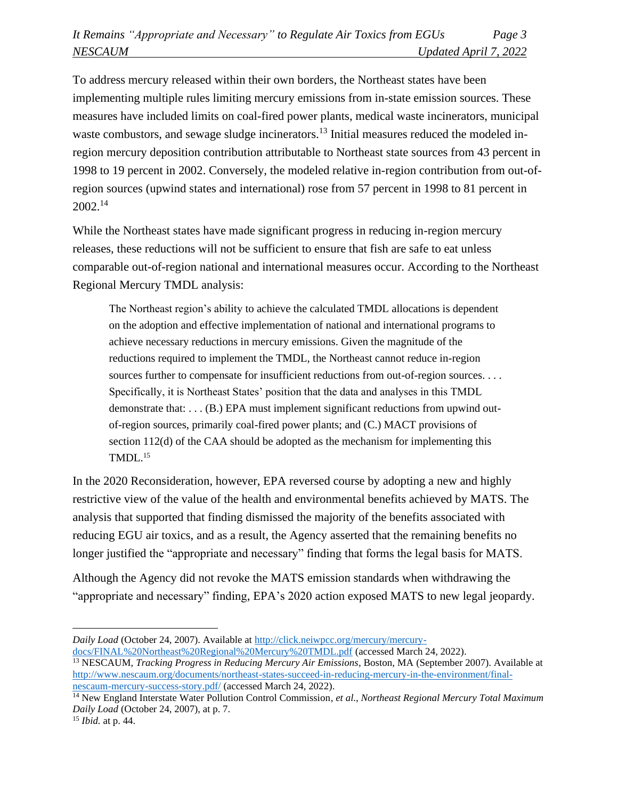To address mercury released within their own borders, the Northeast states have been implementing multiple rules limiting mercury emissions from in-state emission sources. These measures have included limits on coal-fired power plants, medical waste incinerators, municipal waste combustors, and sewage sludge incinerators.<sup>13</sup> Initial measures reduced the modeled inregion mercury deposition contribution attributable to Northeast state sources from 43 percent in 1998 to 19 percent in 2002. Conversely, the modeled relative in-region contribution from out-ofregion sources (upwind states and international) rose from 57 percent in 1998 to 81 percent in 2002.<sup>14</sup>

While the Northeast states have made significant progress in reducing in-region mercury releases, these reductions will not be sufficient to ensure that fish are safe to eat unless comparable out-of-region national and international measures occur. According to the Northeast Regional Mercury TMDL analysis:

The Northeast region's ability to achieve the calculated TMDL allocations is dependent on the adoption and effective implementation of national and international programs to achieve necessary reductions in mercury emissions. Given the magnitude of the reductions required to implement the TMDL, the Northeast cannot reduce in-region sources further to compensate for insufficient reductions from out-of-region sources. . . . Specifically, it is Northeast States' position that the data and analyses in this TMDL demonstrate that: . . . (B.) EPA must implement significant reductions from upwind outof-region sources, primarily coal-fired power plants; and (C.) MACT provisions of section 112(d) of the CAA should be adopted as the mechanism for implementing this  $TMDL<sup>15</sup>$ 

In the 2020 Reconsideration, however, EPA reversed course by adopting a new and highly restrictive view of the value of the health and environmental benefits achieved by MATS. The analysis that supported that finding dismissed the majority of the benefits associated with reducing EGU air toxics, and as a result, the Agency asserted that the remaining benefits no longer justified the "appropriate and necessary" finding that forms the legal basis for MATS.

Although the Agency did not revoke the MATS emission standards when withdrawing the "appropriate and necessary" finding, EPA's 2020 action exposed MATS to new legal jeopardy.

*Daily Load* (October 24, 2007). Available at [http://click.neiwpcc.org/mercury/mercury](http://click.neiwpcc.org/mercury/mercury-docs/FINAL%20Northeast%20Regional%20Mercury%20TMDL.pdf)[docs/FINAL%20Northeast%20Regional%20Mercury%20TMDL.pdf](http://click.neiwpcc.org/mercury/mercury-docs/FINAL%20Northeast%20Regional%20Mercury%20TMDL.pdf) (accessed March 24, 2022).

<sup>&</sup>lt;sup>13</sup> NESCAUM, *Tracking Progress in Reducing Mercury Air Emissions*, Boston, MA (September 2007). Available at [http://www.nescaum.org/documents/northeast-states-succeed-in-reducing-mercury-in-the-environment/final](http://www.nescaum.org/documents/northeast-states-succeed-in-reducing-mercury-in-the-environment/final-nescaum-mercury-success-story.pdf/)[nescaum-mercury-success-story.pdf/](http://www.nescaum.org/documents/northeast-states-succeed-in-reducing-mercury-in-the-environment/final-nescaum-mercury-success-story.pdf/) (accessed March 24, 2022).

<sup>14</sup> New England Interstate Water Pollution Control Commission, *et al.*, *Northeast Regional Mercury Total Maximum Daily Load* (October 24, 2007), at p. 7.

<sup>15</sup> *Ibid.* at p. 44.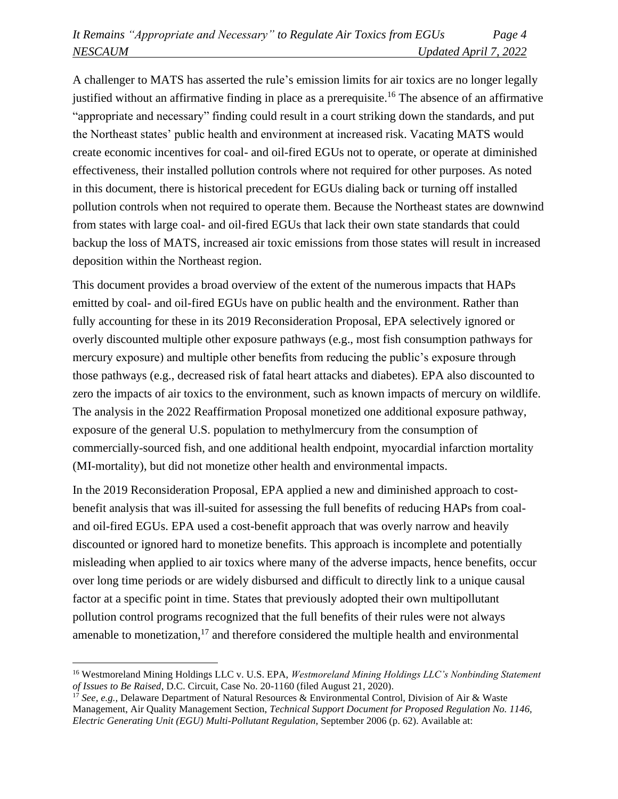A challenger to MATS has asserted the rule's emission limits for air toxics are no longer legally justified without an affirmative finding in place as a prerequisite.<sup>16</sup> The absence of an affirmative "appropriate and necessary" finding could result in a court striking down the standards, and put the Northeast states' public health and environment at increased risk. Vacating MATS would create economic incentives for coal- and oil-fired EGUs not to operate, or operate at diminished effectiveness, their installed pollution controls where not required for other purposes. As noted in this document, there is historical precedent for EGUs dialing back or turning off installed pollution controls when not required to operate them. Because the Northeast states are downwind from states with large coal- and oil-fired EGUs that lack their own state standards that could backup the loss of MATS, increased air toxic emissions from those states will result in increased deposition within the Northeast region.

This document provides a broad overview of the extent of the numerous impacts that HAPs emitted by coal- and oil-fired EGUs have on public health and the environment. Rather than fully accounting for these in its 2019 Reconsideration Proposal, EPA selectively ignored or overly discounted multiple other exposure pathways (e.g., most fish consumption pathways for mercury exposure) and multiple other benefits from reducing the public's exposure through those pathways (e.g., decreased risk of fatal heart attacks and diabetes). EPA also discounted to zero the impacts of air toxics to the environment, such as known impacts of mercury on wildlife. The analysis in the 2022 Reaffirmation Proposal monetized one additional exposure pathway, exposure of the general U.S. population to methylmercury from the consumption of commercially-sourced fish, and one additional health endpoint, myocardial infarction mortality (MI-mortality), but did not monetize other health and environmental impacts.

In the 2019 Reconsideration Proposal, EPA applied a new and diminished approach to costbenefit analysis that was ill-suited for assessing the full benefits of reducing HAPs from coaland oil-fired EGUs. EPA used a cost-benefit approach that was overly narrow and heavily discounted or ignored hard to monetize benefits. This approach is incomplete and potentially misleading when applied to air toxics where many of the adverse impacts, hence benefits, occur over long time periods or are widely disbursed and difficult to directly link to a unique causal factor at a specific point in time. States that previously adopted their own multipollutant pollution control programs recognized that the full benefits of their rules were not always amenable to monetization, $17$  and therefore considered the multiple health and environmental

<sup>16</sup> Westmoreland Mining Holdings LLC v. U.S. EPA, *Westmoreland Mining Holdings LLC's Nonbinding Statement of Issues to Be Raised*, D.C. Circuit, Case No. 20-1160 (filed August 21, 2020).

<sup>&</sup>lt;sup>17</sup> See, e.g., Delaware Department of Natural Resources & Environmental Control, Division of Air & Waste Management, Air Quality Management Section, *Technical Support Document for Proposed Regulation No. 1146, Electric Generating Unit (EGU) Multi-Pollutant Regulation*, September 2006 (p. 62). Available at: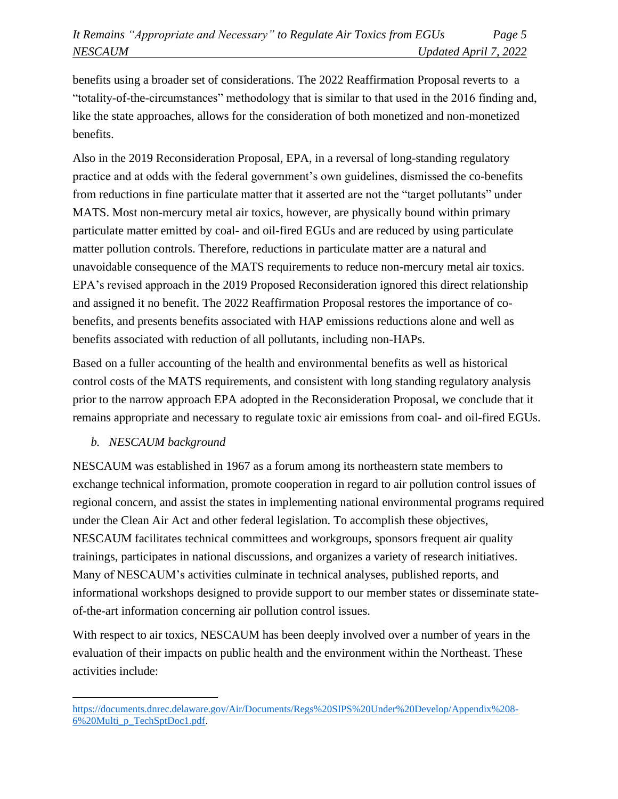benefits using a broader set of considerations. The 2022 Reaffirmation Proposal reverts to a "totality-of-the-circumstances" methodology that is similar to that used in the 2016 finding and, like the state approaches, allows for the consideration of both monetized and non-monetized benefits.

Also in the 2019 Reconsideration Proposal, EPA, in a reversal of long-standing regulatory practice and at odds with the federal government's own guidelines, dismissed the co-benefits from reductions in fine particulate matter that it asserted are not the "target pollutants" under MATS. Most non-mercury metal air toxics, however, are physically bound within primary particulate matter emitted by coal- and oil-fired EGUs and are reduced by using particulate matter pollution controls. Therefore, reductions in particulate matter are a natural and unavoidable consequence of the MATS requirements to reduce non-mercury metal air toxics. EPA's revised approach in the 2019 Proposed Reconsideration ignored this direct relationship and assigned it no benefit. The 2022 Reaffirmation Proposal restores the importance of cobenefits, and presents benefits associated with HAP emissions reductions alone and well as benefits associated with reduction of all pollutants, including non-HAPs.

Based on a fuller accounting of the health and environmental benefits as well as historical control costs of the MATS requirements, and consistent with long standing regulatory analysis prior to the narrow approach EPA adopted in the Reconsideration Proposal, we conclude that it remains appropriate and necessary to regulate toxic air emissions from coal- and oil-fired EGUs.

## *b. NESCAUM background*

NESCAUM was established in 1967 as a forum among its northeastern state members to exchange technical information, promote cooperation in regard to air pollution control issues of regional concern, and assist the states in implementing national environmental programs required under the Clean Air Act and other federal legislation. To accomplish these objectives, NESCAUM facilitates technical committees and workgroups, sponsors frequent air quality trainings, participates in national discussions, and organizes a variety of research initiatives. Many of NESCAUM's activities culminate in technical analyses, published reports, and informational workshops designed to provide support to our member states or disseminate stateof-the-art information concerning air pollution control issues.

With respect to air toxics, NESCAUM has been deeply involved over a number of years in the evaluation of their impacts on public health and the environment within the Northeast. These activities include:

[https://documents.dnrec.delaware.gov/Air/Documents/Regs%20SIPS%20Under%20Develop/Appendix%208-](https://documents.dnrec.delaware.gov/Air/Documents/Regs%20SIPS%20Under%20Develop/Appendix%208-6%20Multi_p_TechSptDoc1.pdf) [6%20Multi\\_p\\_TechSptDoc1.pdf.](https://documents.dnrec.delaware.gov/Air/Documents/Regs%20SIPS%20Under%20Develop/Appendix%208-6%20Multi_p_TechSptDoc1.pdf)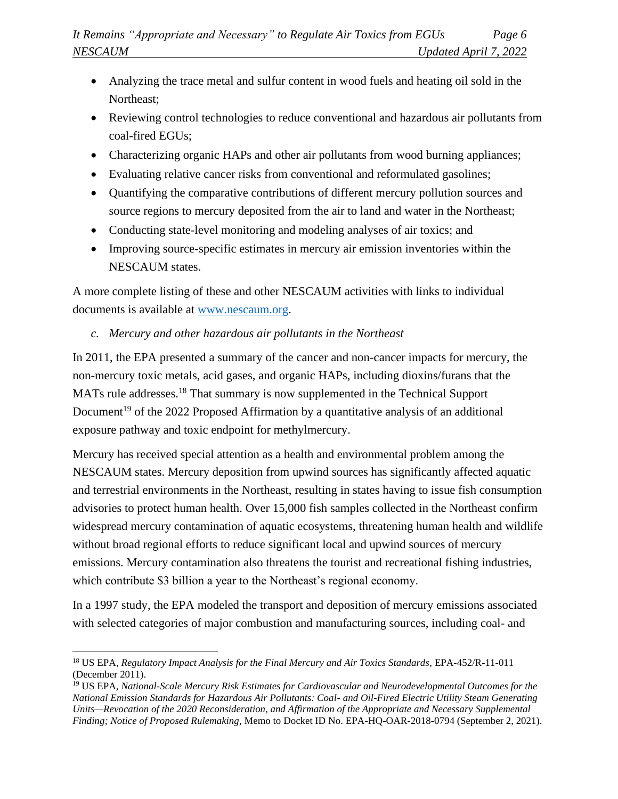- Analyzing the trace metal and sulfur content in wood fuels and heating oil sold in the Northeast;
- Reviewing control technologies to reduce conventional and hazardous air pollutants from coal-fired EGUs;
- Characterizing organic HAPs and other air pollutants from wood burning appliances;
- Evaluating relative cancer risks from conventional and reformulated gasolines;
- Quantifying the comparative contributions of different mercury pollution sources and source regions to mercury deposited from the air to land and water in the Northeast;
- Conducting state-level monitoring and modeling analyses of air toxics; and
- Improving source-specific estimates in mercury air emission inventories within the NESCAUM states.

A more complete listing of these and other NESCAUM activities with links to individual documents is available at [www.nescaum.org.](http://www.nescaum.org/)

# *c. Mercury and other hazardous air pollutants in the Northeast*

In 2011, the EPA presented a summary of the cancer and non-cancer impacts for mercury, the non-mercury toxic metals, acid gases, and organic HAPs, including dioxins/furans that the MATs rule addresses.<sup>18</sup> That summary is now supplemented in the Technical Support Document<sup>19</sup> of the 2022 Proposed Affirmation by a quantitative analysis of an additional exposure pathway and toxic endpoint for methylmercury.

Mercury has received special attention as a health and environmental problem among the NESCAUM states. Mercury deposition from upwind sources has significantly affected aquatic and terrestrial environments in the Northeast, resulting in states having to issue fish consumption advisories to protect human health. Over 15,000 fish samples collected in the Northeast confirm widespread mercury contamination of aquatic ecosystems, threatening human health and wildlife without broad regional efforts to reduce significant local and upwind sources of mercury emissions. Mercury contamination also threatens the tourist and recreational fishing industries, which contribute \$3 billion a year to the Northeast's regional economy.

In a 1997 study, the EPA modeled the transport and deposition of mercury emissions associated with selected categories of major combustion and manufacturing sources, including coal- and

<sup>18</sup> US EPA, *Regulatory Impact Analysis for the Final Mercury and Air Toxics Standards*, EPA-452/R-11-011 (December 2011).

<sup>19</sup> US EPA, *National-Scale Mercury Risk Estimates for Cardiovascular and Neurodevelopmental Outcomes for the National Emission Standards for Hazardous Air Pollutants: Coal- and Oil-Fired Electric Utility Steam Generating Units—Revocation of the 2020 Reconsideration, and Affirmation of the Appropriate and Necessary Supplemental Finding; Notice of Proposed Rulemaking*, Memo to Docket ID No. EPA-HQ-OAR-2018-0794 (September 2, 2021).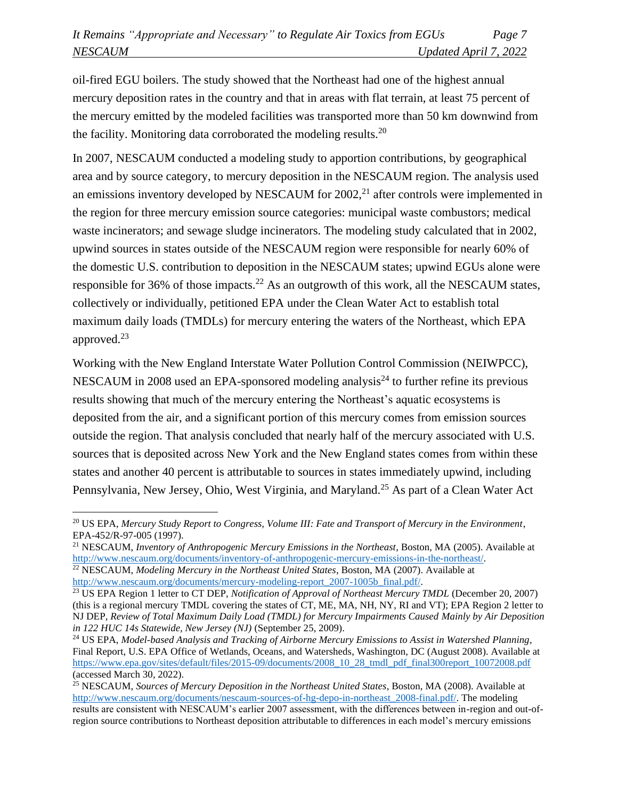oil-fired EGU boilers. The study showed that the Northeast had one of the highest annual mercury deposition rates in the country and that in areas with flat terrain, at least 75 percent of the mercury emitted by the modeled facilities was transported more than 50 km downwind from the facility. Monitoring data corroborated the modeling results.<sup>20</sup>

In 2007, NESCAUM conducted a modeling study to apportion contributions, by geographical area and by source category, to mercury deposition in the NESCAUM region. The analysis used an emissions inventory developed by NESCAUM for  $2002<sup>21</sup>$  after controls were implemented in the region for three mercury emission source categories: municipal waste combustors; medical waste incinerators; and sewage sludge incinerators. The modeling study calculated that in 2002, upwind sources in states outside of the NESCAUM region were responsible for nearly 60% of the domestic U.S. contribution to deposition in the NESCAUM states; upwind EGUs alone were responsible for 36% of those impacts.<sup>22</sup> As an outgrowth of this work, all the NESCAUM states, collectively or individually, petitioned EPA under the Clean Water Act to establish total maximum daily loads (TMDLs) for mercury entering the waters of the Northeast, which EPA approved. $23$ 

Working with the New England Interstate Water Pollution Control Commission (NEIWPCC), NESCAUM in 2008 used an EPA-sponsored modeling analysis<sup>24</sup> to further refine its previous results showing that much of the mercury entering the Northeast's aquatic ecosystems is deposited from the air, and a significant portion of this mercury comes from emission sources outside the region. That analysis concluded that nearly half of the mercury associated with U.S. sources that is deposited across New York and the New England states comes from within these states and another 40 percent is attributable to sources in states immediately upwind, including Pennsylvania, New Jersey, Ohio, West Virginia, and Maryland.<sup>25</sup> As part of a Clean Water Act

```
http://www.nescaum.org/documents/mercury-modeling-report_2007-1005b_final.pdf/.
```
<sup>20</sup> US EPA, *Mercury Study Report to Congress, Volume III: Fate and Transport of Mercury in the Environment*, EPA-452/R-97-005 (1997).

<sup>&</sup>lt;sup>21</sup> NESCAUM, *Inventory of Anthropogenic Mercury Emissions in the Northeast*, Boston, MA (2005). Available at [http://www.nescaum.org/documents/inventory-of-anthropogenic-mercury-emissions-in-the-northeast/.](http://www.nescaum.org/documents/inventory-of-anthropogenic-mercury-emissions-in-the-northeast/) <sup>22</sup> NESCAUM, *Modeling Mercury in the Northeast United States*, Boston, MA (2007). Available at

<sup>&</sup>lt;sup>23</sup> US EPA Region 1 letter to CT DEP, *Notification of Approval of Northeast Mercury TMDL* (December 20, 2007) (this is a regional mercury TMDL covering the states of CT, ME, MA, NH, NY, RI and VT); EPA Region 2 letter to NJ DEP, *Review of Total Maximum Daily Load (TMDL) for Mercury Impairments Caused Mainly by Air Deposition in 122 HUC 14s Statewide, New Jersey (NJ)* (September 25, 2009).

<sup>24</sup> US EPA, *Model-based Analysis and Tracking of Airborne Mercury Emissions to Assist in Watershed Planning*, Final Report, U.S. EPA Office of Wetlands, Oceans, and Watersheds, Washington, DC (August 2008). Available at [https://www.epa.gov/sites/default/files/2015-09/documents/2008\\_10\\_28\\_tmdl\\_pdf\\_final300report\\_10072008.pdf](https://www.epa.gov/sites/default/files/2015-09/documents/2008_10_28_tmdl_pdf_final300report_10072008.pdf) (accessed March 30, 2022).

<sup>25</sup> NESCAUM, *Sources of Mercury Deposition in the Northeast United States*, Boston, MA (2008). Available at [http://www.nescaum.org/documents/nescaum-sources-of-hg-depo-in-northeast\\_2008-final.pdf/.](http://www.nescaum.org/documents/nescaum-sources-of-hg-depo-in-northeast_2008-final.pdf/) The modeling results are consistent with NESCAUM's earlier 2007 assessment, with the differences between in-region and out-ofregion source contributions to Northeast deposition attributable to differences in each model's mercury emissions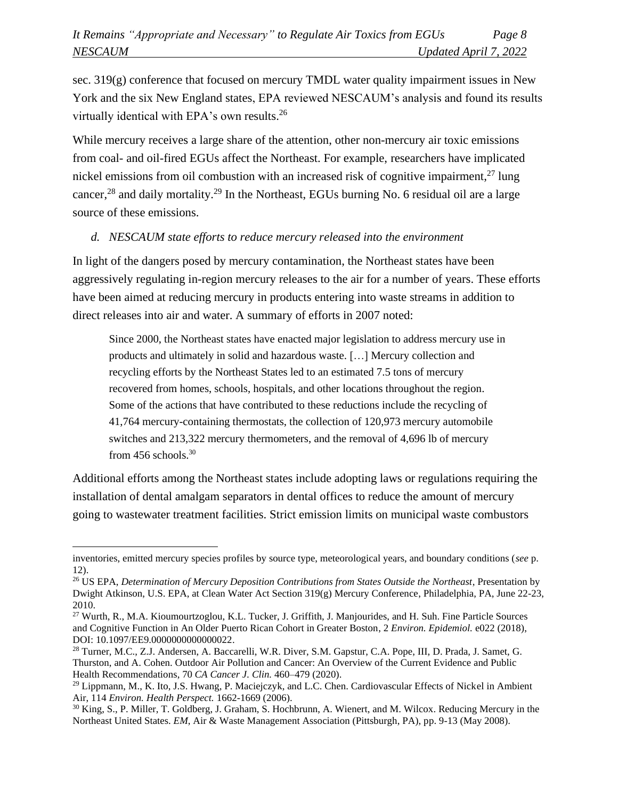sec.  $319(g)$  conference that focused on mercury TMDL water quality impairment issues in New York and the six New England states, EPA reviewed NESCAUM's analysis and found its results virtually identical with EPA's own results. 26

While mercury receives a large share of the attention, other non-mercury air toxic emissions from coal- and oil-fired EGUs affect the Northeast. For example, researchers have implicated nickel emissions from oil combustion with an increased risk of cognitive impairment.<sup>27</sup> lung cancer,<sup>28</sup> and daily mortality.<sup>29</sup> In the Northeast, EGUs burning No. 6 residual oil are a large source of these emissions.

#### *d. NESCAUM state efforts to reduce mercury released into the environment*

In light of the dangers posed by mercury contamination, the Northeast states have been aggressively regulating in-region mercury releases to the air for a number of years. These efforts have been aimed at reducing mercury in products entering into waste streams in addition to direct releases into air and water. A summary of efforts in 2007 noted:

Since 2000, the Northeast states have enacted major legislation to address mercury use in products and ultimately in solid and hazardous waste. […] Mercury collection and recycling efforts by the Northeast States led to an estimated 7.5 tons of mercury recovered from homes, schools, hospitals, and other locations throughout the region. Some of the actions that have contributed to these reductions include the recycling of 41,764 mercury-containing thermostats, the collection of 120,973 mercury automobile switches and 213,322 mercury thermometers, and the removal of 4,696 lb of mercury from 456 schools.<sup>30</sup>

Additional efforts among the Northeast states include adopting laws or regulations requiring the installation of dental amalgam separators in dental offices to reduce the amount of mercury going to wastewater treatment facilities. Strict emission limits on municipal waste combustors

inventories, emitted mercury species profiles by source type, meteorological years, and boundary conditions (*see* p. 12).

<sup>&</sup>lt;sup>26</sup> US EPA, *Determination of Mercury Deposition Contributions from States Outside the Northeast*, Presentation by Dwight Atkinson, U.S. EPA, at Clean Water Act Section 319(g) Mercury Conference, Philadelphia, PA, June 22-23, 2010.

<sup>&</sup>lt;sup>27</sup> Wurth, R., M.A. Kioumourtzoglou, K.L. Tucker, J. Griffith, J. Manjourides, and H. Suh. Fine Particle Sources and Cognitive Function in An Older Puerto Rican Cohort in Greater Boston, 2 *Environ. Epidemiol.* e022 (2018), DOI: 10.1097/EE9.0000000000000022.

<sup>28</sup> Turner, M.C., Z.J. Andersen, A. Baccarelli, W.R. Diver, S.M. Gapstur, C.A. Pope, III, D. Prada, J. Samet, G. Thurston, and A. Cohen. Outdoor Air Pollution and Cancer: An Overview of the Current Evidence and Public Health Recommendations, 70 *CA Cancer J. Clin.* 460–479 (2020).

<sup>&</sup>lt;sup>29</sup> Lippmann, M., K. Ito, J.S. Hwang, P. Maciejczyk, and L.C. Chen. Cardiovascular Effects of Nickel in Ambient Air, 114 *Environ. Health Perspect.* 1662-1669 (2006).

<sup>&</sup>lt;sup>30</sup> King, S., P. Miller, T. Goldberg, J. Graham, S. Hochbrunn, A. Wienert, and M. Wilcox. Reducing Mercury in the Northeast United States. *EM*, Air & Waste Management Association (Pittsburgh, PA), pp. 9-13 (May 2008).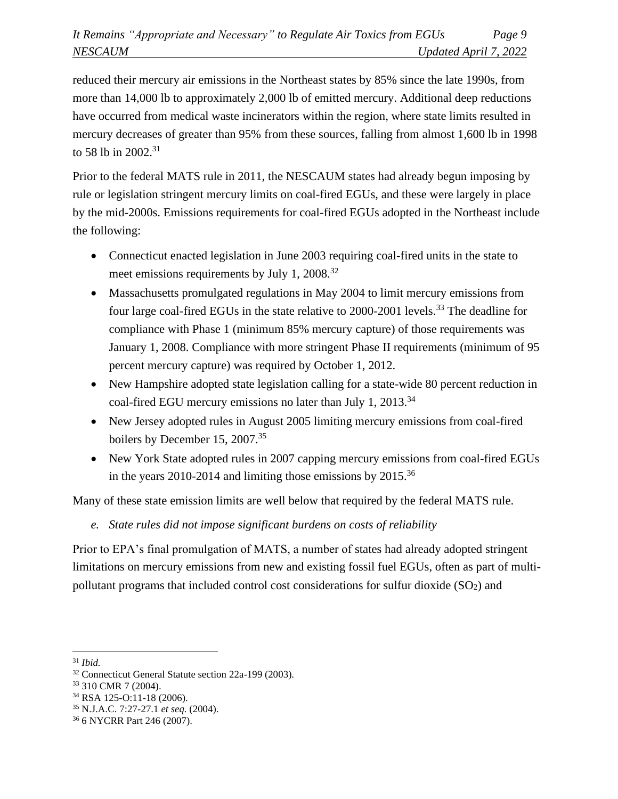reduced their mercury air emissions in the Northeast states by 85% since the late 1990s, from more than 14,000 lb to approximately 2,000 lb of emitted mercury. Additional deep reductions have occurred from medical waste incinerators within the region, where state limits resulted in mercury decreases of greater than 95% from these sources, falling from almost 1,600 lb in 1998 to 58 lb in 2002.<sup>31</sup>

Prior to the federal MATS rule in 2011, the NESCAUM states had already begun imposing by rule or legislation stringent mercury limits on coal-fired EGUs, and these were largely in place by the mid-2000s. Emissions requirements for coal-fired EGUs adopted in the Northeast include the following:

- Connecticut enacted legislation in June 2003 requiring coal-fired units in the state to meet emissions requirements by July 1, 2008.<sup>32</sup>
- Massachusetts promulgated regulations in May 2004 to limit mercury emissions from four large coal-fired EGUs in the state relative to 2000-2001 levels.<sup>33</sup> The deadline for compliance with Phase 1 (minimum 85% mercury capture) of those requirements was January 1, 2008. Compliance with more stringent Phase II requirements (minimum of 95 percent mercury capture) was required by October 1, 2012.
- New Hampshire adopted state legislation calling for a state-wide 80 percent reduction in coal-fired EGU mercury emissions no later than July 1, 2013.<sup>34</sup>
- New Jersey adopted rules in August 2005 limiting mercury emissions from coal-fired boilers by December 15, 2007.<sup>35</sup>
- New York State adopted rules in 2007 capping mercury emissions from coal-fired EGUs in the years 2010-2014 and limiting those emissions by 2015.<sup>36</sup>

Many of these state emission limits are well below that required by the federal MATS rule.

*e. State rules did not impose significant burdens on costs of reliability*

Prior to EPA's final promulgation of MATS, a number of states had already adopted stringent limitations on mercury emissions from new and existing fossil fuel EGUs, often as part of multipollutant programs that included control cost considerations for sulfur dioxide  $(SO<sub>2</sub>)$  and

<sup>31</sup> *Ibid.*

<sup>32</sup> Connecticut General Statute section 22a-199 (2003).

<sup>33</sup> 310 CMR 7 (2004).

<sup>34</sup> RSA 125-O:11-18 (2006).

<sup>35</sup> N.J.A.C. 7:27-27.1 *et seq.* (2004).

<sup>36</sup> 6 NYCRR Part 246 (2007).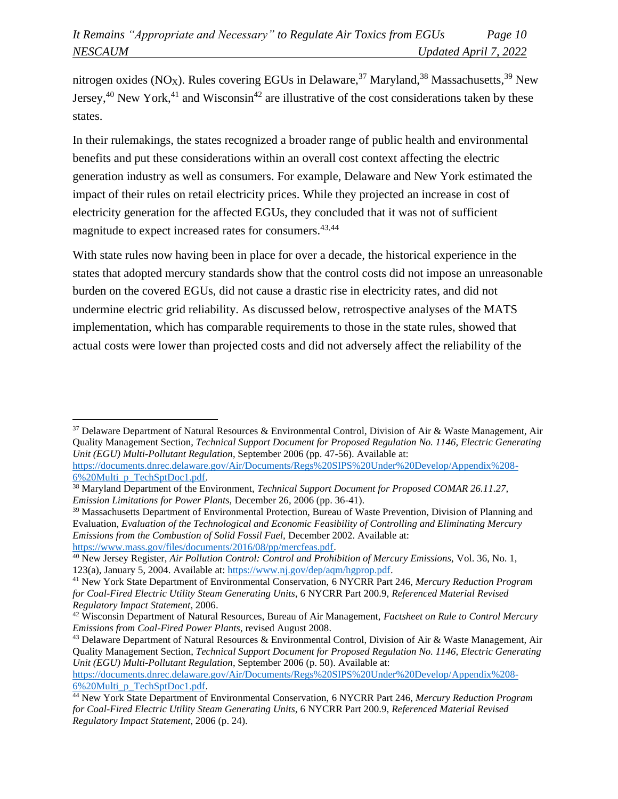nitrogen oxides (NO<sub>X</sub>). Rules covering EGUs in Delaware,<sup>37</sup> Maryland,<sup>38</sup> Massachusetts,<sup>39</sup> New Jersey,<sup>40</sup> New York,<sup>41</sup> and Wisconsin<sup>42</sup> are illustrative of the cost considerations taken by these states.

In their rulemakings, the states recognized a broader range of public health and environmental benefits and put these considerations within an overall cost context affecting the electric generation industry as well as consumers. For example, Delaware and New York estimated the impact of their rules on retail electricity prices. While they projected an increase in cost of electricity generation for the affected EGUs, they concluded that it was not of sufficient magnitude to expect increased rates for consumers.<sup>43,44</sup>

With state rules now having been in place for over a decade, the historical experience in the states that adopted mercury standards show that the control costs did not impose an unreasonable burden on the covered EGUs, did not cause a drastic rise in electricity rates, and did not undermine electric grid reliability. As discussed below, retrospective analyses of the MATS implementation, which has comparable requirements to those in the state rules, showed that actual costs were lower than projected costs and did not adversely affect the reliability of the

<sup>37</sup> Delaware Department of Natural Resources & Environmental Control, Division of Air & Waste Management, Air Quality Management Section, *Technical Support Document for Proposed Regulation No. 1146, Electric Generating Unit (EGU) Multi-Pollutant Regulation*, September 2006 (pp. 47-56). Available at:

[https://documents.dnrec.delaware.gov/Air/Documents/Regs%20SIPS%20Under%20Develop/Appendix%208-](https://documents.dnrec.delaware.gov/Air/Documents/Regs%20SIPS%20Under%20Develop/Appendix%208-6%20Multi_p_TechSptDoc1.pdf) [6%20Multi\\_p\\_TechSptDoc1.pdf.](https://documents.dnrec.delaware.gov/Air/Documents/Regs%20SIPS%20Under%20Develop/Appendix%208-6%20Multi_p_TechSptDoc1.pdf)

<sup>38</sup> Maryland Department of the Environment, *Technical Support Document for Proposed COMAR 26.11.27, Emission Limitations for Power Plants,* December 26, 2006 (pp. 36-41).

<sup>39</sup> Massachusetts Department of Environmental Protection, Bureau of Waste Prevention, Division of Planning and Evaluation, *Evaluation of the Technological and Economic Feasibility of Controlling and Eliminating Mercury Emissions from the Combustion of Solid Fossil Fuel,* December 2002. Available at: [https://www.mass.gov/files/documents/2016/08/pp/mercfeas.pdf.](https://www.mass.gov/files/documents/2016/08/pp/mercfeas.pdf)

<sup>40</sup> New Jersey Register, *Air Pollution Control: Control and Prohibition of Mercury Emissions,* Vol. 36, No. 1, 123(a), January 5, 2004. Available at[: https://www.nj.gov/dep/aqm/hgprop.pdf.](https://www.nj.gov/dep/aqm/hgprop.pdf)

<sup>41</sup> New York State Department of Environmental Conservation, 6 NYCRR Part 246, *Mercury Reduction Program for Coal-Fired Electric Utility Steam Generating Units*, 6 NYCRR Part 200.9, *Referenced Material Revised Regulatory Impact Statement*, 2006.

<sup>42</sup> Wisconsin Department of Natural Resources, Bureau of Air Management, *Factsheet on Rule to Control Mercury Emissions from Coal-Fired Power Plants*, revised August 2008.

<sup>43</sup> Delaware Department of Natural Resources & Environmental Control, Division of Air & Waste Management, Air Quality Management Section, *Technical Support Document for Proposed Regulation No. 1146, Electric Generating Unit (EGU) Multi-Pollutant Regulation*, September 2006 (p. 50). Available at:

[https://documents.dnrec.delaware.gov/Air/Documents/Regs%20SIPS%20Under%20Develop/Appendix%208-](https://documents.dnrec.delaware.gov/Air/Documents/Regs%20SIPS%20Under%20Develop/Appendix%208-6%20Multi_p_TechSptDoc1.pdf) [6%20Multi\\_p\\_TechSptDoc1.pdf.](https://documents.dnrec.delaware.gov/Air/Documents/Regs%20SIPS%20Under%20Develop/Appendix%208-6%20Multi_p_TechSptDoc1.pdf)

<sup>44</sup> New York State Department of Environmental Conservation, 6 NYCRR Part 246, *Mercury Reduction Program for Coal-Fired Electric Utility Steam Generating Units*, 6 NYCRR Part 200.9, *Referenced Material Revised Regulatory Impact Statement*, 2006 (p. 24).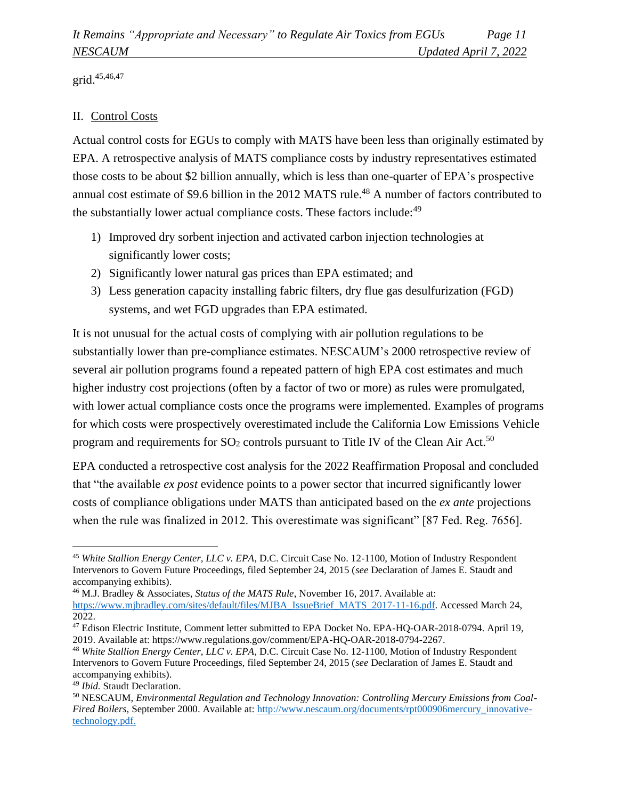grid.45,46,47

# II. Control Costs

Actual control costs for EGUs to comply with MATS have been less than originally estimated by EPA. A retrospective analysis of MATS compliance costs by industry representatives estimated those costs to be about \$2 billion annually, which is less than one-quarter of EPA's prospective annual cost estimate of \$9.6 billion in the 2012 MATS rule.<sup>48</sup> A number of factors contributed to the substantially lower actual compliance costs. These factors include:<sup>49</sup>

- 1) Improved dry sorbent injection and activated carbon injection technologies at significantly lower costs;
- 2) Significantly lower natural gas prices than EPA estimated; and
- 3) Less generation capacity installing fabric filters, dry flue gas desulfurization (FGD) systems, and wet FGD upgrades than EPA estimated.

It is not unusual for the actual costs of complying with air pollution regulations to be substantially lower than pre-compliance estimates. NESCAUM's 2000 retrospective review of several air pollution programs found a repeated pattern of high EPA cost estimates and much higher industry cost projections (often by a factor of two or more) as rules were promulgated, with lower actual compliance costs once the programs were implemented. Examples of programs for which costs were prospectively overestimated include the California Low Emissions Vehicle program and requirements for  $SO_2$  controls pursuant to Title IV of the Clean Air Act.<sup>50</sup>

EPA conducted a retrospective cost analysis for the 2022 Reaffirmation Proposal and concluded that "the available *ex post* evidence points to a power sector that incurred significantly lower costs of compliance obligations under MATS than anticipated based on the *ex ante* projections when the rule was finalized in 2012. This overestimate was significant" [87 Fed. Reg. 7656].

<sup>45</sup> *White Stallion Energy Center, LLC v. EPA*, D.C. Circuit Case No. 12-1100, Motion of Industry Respondent Intervenors to Govern Future Proceedings, filed September 24, 2015 (*see* Declaration of James E. Staudt and accompanying exhibits).

<sup>46</sup> M.J. Bradley & Associates, *Status of the MATS Rule*, November 16, 2017. Available at: [https://www.mjbradley.com/sites/default/files/MJBA\\_IssueBrief\\_MATS\\_2017-11-16.pdf.](https://www.mjbradley.com/sites/default/files/MJBA_IssueBrief_MATS_2017-11-16.pdf) Accessed March 24, 2022.

<sup>47</sup> Edison Electric Institute, Comment letter submitted to EPA Docket No. EPA-HQ-OAR-2018-0794. April 19, 2019. Available at: https://www.regulations.gov/comment/EPA-HQ-OAR-2018-0794-2267.

<sup>48</sup> *White Stallion Energy Center, LLC v. EPA*, D.C. Circuit Case No. 12-1100, Motion of Industry Respondent Intervenors to Govern Future Proceedings, filed September 24, 2015 (*see* Declaration of James E. Staudt and accompanying exhibits).

<sup>49</sup> *Ibid.* Staudt Declaration.

<sup>50</sup> NESCAUM, *Environmental Regulation and Technology Innovation: Controlling Mercury Emissions from Coal-Fired Boilers, September 2000. Available at[: http://www.nescaum.org/documents/rpt000906mercury\\_innovative](http://www.nescaum.org/documents/rpt000906mercury_innovative-technology.pdf)*[technology.pdf.](http://www.nescaum.org/documents/rpt000906mercury_innovative-technology.pdf)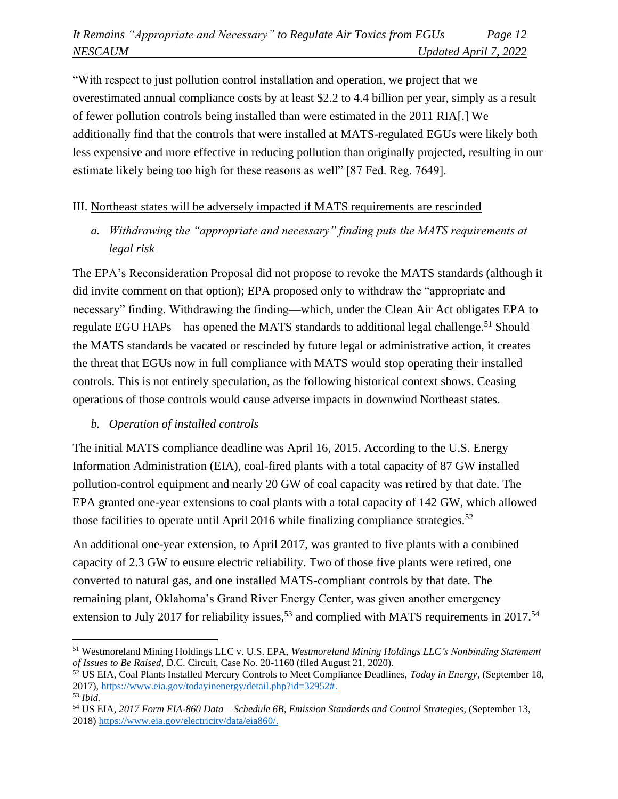"With respect to just pollution control installation and operation, we project that we overestimated annual compliance costs by at least \$2.2 to 4.4 billion per year, simply as a result of fewer pollution controls being installed than were estimated in the 2011 RIA[.] We additionally find that the controls that were installed at MATS-regulated EGUs were likely both less expensive and more effective in reducing pollution than originally projected, resulting in our estimate likely being too high for these reasons as well" [87 Fed. Reg. 7649].

## III. Northeast states will be adversely impacted if MATS requirements are rescinded

*a. Withdrawing the "appropriate and necessary" finding puts the MATS requirements at legal risk*

The EPA's Reconsideration Proposal did not propose to revoke the MATS standards (although it did invite comment on that option); EPA proposed only to withdraw the "appropriate and necessary" finding. Withdrawing the finding—which, under the Clean Air Act obligates EPA to regulate EGU HAPs—has opened the MATS standards to additional legal challenge.<sup>51</sup> Should the MATS standards be vacated or rescinded by future legal or administrative action, it creates the threat that EGUs now in full compliance with MATS would stop operating their installed controls. This is not entirely speculation, as the following historical context shows. Ceasing operations of those controls would cause adverse impacts in downwind Northeast states.

# *b. Operation of installed controls*

The initial MATS compliance deadline was April 16, 2015. According to the U.S. Energy Information Administration (EIA), coal-fired plants with a total capacity of 87 GW installed pollution-control equipment and nearly 20 GW of coal capacity was retired by that date. The EPA granted one-year extensions to coal plants with a total capacity of 142 GW, which allowed those facilities to operate until April 2016 while finalizing compliance strategies.<sup>52</sup>

An additional one-year extension, to April 2017, was granted to five plants with a combined capacity of 2.3 GW to ensure electric reliability. Two of those five plants were retired, one converted to natural gas, and one installed MATS-compliant controls by that date. The remaining plant, Oklahoma's Grand River Energy Center, was given another emergency extension to July 2017 for reliability issues,<sup>53</sup> and complied with MATS requirements in 2017.<sup>54</sup>

<sup>51</sup> Westmoreland Mining Holdings LLC v. U.S. EPA, *Westmoreland Mining Holdings LLC's Nonbinding Statement of Issues to Be Raised*, D.C. Circuit, Case No. 20-1160 (filed August 21, 2020).

<sup>52</sup> US EIA, Coal Plants Installed Mercury Controls to Meet Compliance Deadlines, *Today in Energy*, (September 18, 2017), [https://www.eia.gov/todayinenergy/detail.php?id=32952#.](https://www.eia.gov/todayinenergy/detail.php?id=32952) <sup>53</sup> *Ibid.*

<sup>54</sup> US EIA, *2017 Form EIA-860 Data – Schedule 6B, Emission Standards and Control Strategies*, (September 13, 2018) [https://www.eia.gov/electricity/data/eia860/.](https://www.eia.gov/electricity/data/eia860/)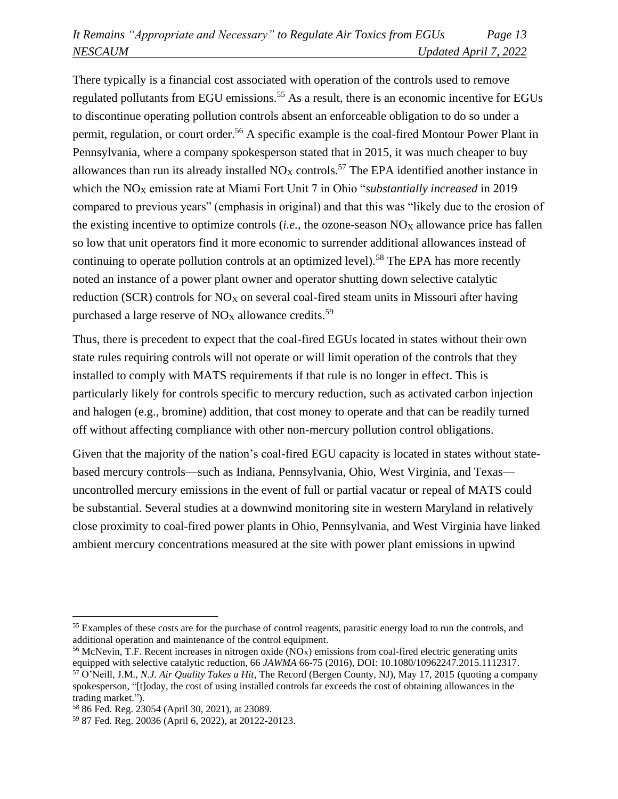There typically is a financial cost associated with operation of the controls used to remove regulated pollutants from EGU emissions.<sup>55</sup> As a result, there is an economic incentive for EGUs to discontinue operating pollution controls absent an enforceable obligation to do so under a permit, regulation, or court order.<sup>56</sup> A specific example is the coal-fired Montour Power Plant in Pennsylvania, where a company spokesperson stated that in 2015, it was much cheaper to buy allowances than run its already installed  $NO<sub>X</sub>$  controls.<sup>57</sup> The EPA identified another instance in which the NO<sub>X</sub> emission rate at Miami Fort Unit 7 in Ohio "*substantially increased* in 2019 compared to previous years" (emphasis in original) and that this was "likely due to the erosion of the existing incentive to optimize controls  $(i.e.,$  the ozone-season  $NO<sub>X</sub>$  allowance price has fallen so low that unit operators find it more economic to surrender additional allowances instead of continuing to operate pollution controls at an optimized level).<sup>58</sup> The EPA has more recently noted an instance of a power plant owner and operator shutting down selective catalytic reduction (SCR) controls for  $NO_X$  on several coal-fired steam units in Missouri after having purchased a large reserve of  $NO<sub>X</sub>$  allowance credits.<sup>59</sup>

Thus, there is precedent to expect that the coal-fired EGUs located in states without their own state rules requiring controls will not operate or will limit operation of the controls that they installed to comply with MATS requirements if that rule is no longer in effect. This is particularly likely for controls specific to mercury reduction, such as activated carbon injection and halogen (e.g., bromine) addition, that cost money to operate and that can be readily turned off without affecting compliance with other non-mercury pollution control obligations.

Given that the majority of the nation's coal-fired EGU capacity is located in states without statebased mercury controls—such as Indiana, Pennsylvania, Ohio, West Virginia, and Texas uncontrolled mercury emissions in the event of full or partial vacatur or repeal of MATS could be substantial. Several studies at a downwind monitoring site in western Maryland in relatively close proximity to coal-fired power plants in Ohio, Pennsylvania, and West Virginia have linked ambient mercury concentrations measured at the site with power plant emissions in upwind

<sup>&</sup>lt;sup>55</sup> Examples of these costs are for the purchase of control reagents, parasitic energy load to run the controls, and additional operation and maintenance of the control equipment.

 $56$  McNevin, T.F. Recent increases in nitrogen oxide (NO<sub>X</sub>) emissions from coal-fired electric generating units equipped with selective catalytic reduction, 66 *JAWMA* 66-75 (2016), DOI: 10.1080/10962247.2015.1112317. <sup>57</sup> O'Neill, J.M., *N.J. Air Quality Takes a Hit*, The Record (Bergen County, NJ), May 17, 2015 (quoting a company spokesperson, "[t]oday, the cost of using installed controls far exceeds the cost of obtaining allowances in the trading market.").

<sup>58</sup> 86 Fed. Reg. 23054 (April 30, 2021), at 23089.

<sup>59</sup> 87 Fed. Reg. 20036 (April 6, 2022), at 20122-20123.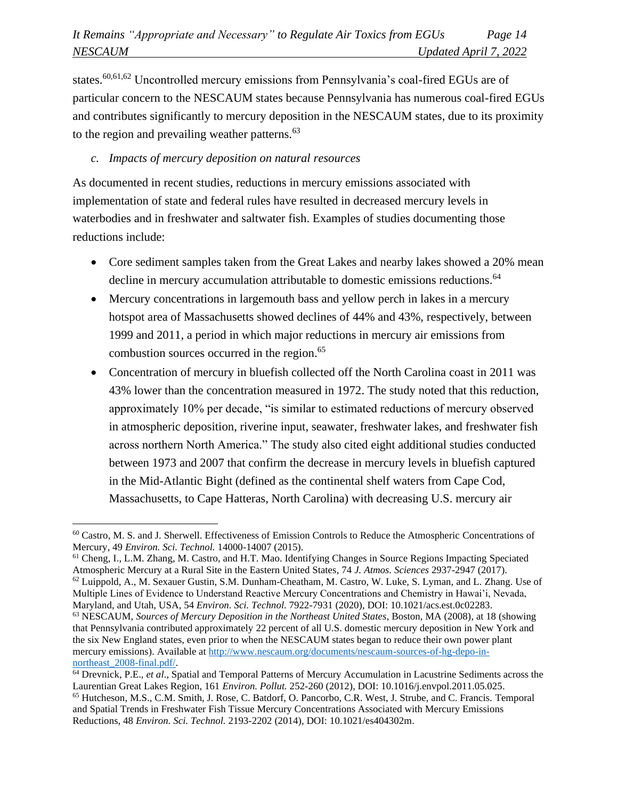states.<sup>60,61,62</sup> Uncontrolled mercury emissions from Pennsylvania's coal-fired EGUs are of particular concern to the NESCAUM states because Pennsylvania has numerous coal-fired EGUs and contributes significantly to mercury deposition in the NESCAUM states, due to its proximity to the region and prevailing weather patterns.<sup>63</sup>

## *c. Impacts of mercury deposition on natural resources*

As documented in recent studies, reductions in mercury emissions associated with implementation of state and federal rules have resulted in decreased mercury levels in waterbodies and in freshwater and saltwater fish. Examples of studies documenting those reductions include:

- Core sediment samples taken from the Great Lakes and nearby lakes showed a 20% mean decline in mercury accumulation attributable to domestic emissions reductions.<sup>64</sup>
- Mercury concentrations in largemouth bass and yellow perch in lakes in a mercury hotspot area of Massachusetts showed declines of 44% and 43%, respectively, between 1999 and 2011, a period in which major reductions in mercury air emissions from combustion sources occurred in the region. 65
- Concentration of mercury in bluefish collected off the North Carolina coast in 2011 was 43% lower than the concentration measured in 1972. The study noted that this reduction, approximately 10% per decade, "is similar to estimated reductions of mercury observed in atmospheric deposition, riverine input, seawater, freshwater lakes, and freshwater fish across northern North America." The study also cited eight additional studies conducted between 1973 and 2007 that confirm the decrease in mercury levels in bluefish captured in the Mid-Atlantic Bight (defined as the continental shelf waters from Cape Cod, Massachusetts, to Cape Hatteras, North Carolina) with decreasing U.S. mercury air

Multiple Lines of Evidence to Understand Reactive Mercury Concentrations and Chemistry in Hawai'i, Nevada, Maryland, and Utah, USA, 54 *Environ. Sci. Technol.* 7922-7931 (2020), DOI: 10.1021/acs.est.0c02283.

<sup>60</sup> Castro, M. S. and J. Sherwell. Effectiveness of Emission Controls to Reduce the Atmospheric Concentrations of Mercury, 49 *Environ. Sci. Technol.* 14000-14007 (2015).

<sup>61</sup> Cheng, I., L.M. Zhang, M. Castro, and H.T. Mao. Identifying Changes in Source Regions Impacting Speciated Atmospheric Mercury at a Rural Site in the Eastern United States, 74 *J. Atmos. Sciences* 2937-2947 (2017). <sup>62</sup> Luippold, A., M. Sexauer Gustin, S.M. Dunham-Cheatham, M. Castro, W. Luke, S. Lyman, and L. Zhang. Use of

<sup>63</sup> NESCAUM, *Sources of Mercury Deposition in the Northeast United States*, Boston, MA (2008), at 18 (showing that Pennsylvania contributed approximately 22 percent of all U.S. domestic mercury deposition in New York and the six New England states, even prior to when the NESCAUM states began to reduce their own power plant mercury emissions). Available a[t http://www.nescaum.org/documents/nescaum-sources-of-hg-depo-in](http://www.nescaum.org/documents/nescaum-sources-of-hg-depo-in-northeast_2008-final.pdf/)[northeast\\_2008-final.pdf/.](http://www.nescaum.org/documents/nescaum-sources-of-hg-depo-in-northeast_2008-final.pdf/)

<sup>64</sup> Drevnick, P.E., *et al*., Spatial and Temporal Patterns of Mercury Accumulation in Lacustrine Sediments across the Laurentian Great Lakes Region, 161 *Environ. Pollut.* 252-260 (2012), DOI: 10.1016/j.envpol.2011.05.025.

<sup>65</sup> Hutcheson, M.S., C.M. Smith, J. Rose, C. Batdorf, O. Pancorbo, C.R. West, J. Strube, and C. Francis. Temporal and Spatial Trends in Freshwater Fish Tissue Mercury Concentrations Associated with Mercury Emissions Reductions, 48 *Environ. Sci. Technol.* 2193-2202 (2014), DOI: 10.1021/es404302m.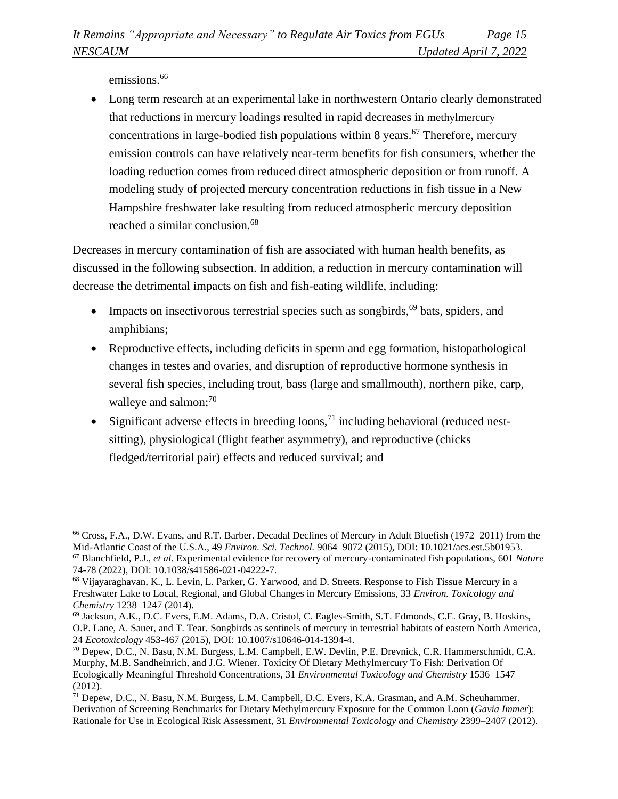emissions.<sup>66</sup>

• Long term research at an experimental lake in northwestern Ontario clearly demonstrated that reductions in mercury loadings resulted in rapid decreases in methylmercury concentrations in large-bodied fish populations within 8 years. <sup>67</sup> Therefore, mercury emission controls can have relatively near-term benefits for fish consumers, whether the loading reduction comes from reduced direct atmospheric deposition or from runoff. A modeling study of projected mercury concentration reductions in fish tissue in a New Hampshire freshwater lake resulting from reduced atmospheric mercury deposition reached a similar conclusion.<sup>68</sup>

Decreases in mercury contamination of fish are associated with human health benefits, as discussed in the following subsection. In addition, a reduction in mercury contamination will decrease the detrimental impacts on fish and fish-eating wildlife, including:

- Impacts on insectivorous terrestrial species such as songbirds,  $69$  bats, spiders, and amphibians;
- Reproductive effects, including deficits in sperm and egg formation, histopathological changes in testes and ovaries, and disruption of reproductive hormone synthesis in several fish species, including trout, bass (large and smallmouth), northern pike, carp, walleye and salmon;<sup>70</sup>
- Significant adverse effects in breeding loons,<sup>71</sup> including behavioral (reduced nestsitting), physiological (flight feather asymmetry), and reproductive (chicks fledged/territorial pair) effects and reduced survival; and

<sup>66</sup> Cross, F.A., D.W. Evans, and R.T. Barber. Decadal Declines of Mercury in Adult Bluefish (1972–2011) from the Mid-Atlantic Coast of the U.S.A., 49 *Environ. Sci. Technol.* 9064–9072 (2015), DOI: 10.1021/acs.est.5b01953.

<sup>67</sup> Blanchfield, P.J., *et al.* Experimental evidence for recovery of mercury-contaminated fish populations, 601 *Nature* 74-78 (2022), DOI: 10.1038/s41586-021-04222-7.

<sup>68</sup> Vijayaraghavan, K., L. Levin, L. Parker, G. Yarwood, and D. Streets. Response to Fish Tissue Mercury in a Freshwater Lake to Local, Regional, and Global Changes in Mercury Emissions, 33 *Environ. Toxicology and Chemistry* 1238–1247 (2014).

<sup>69</sup> Jackson, A.K., D.C. Evers, E.M. Adams, D.A. Cristol, C. Eagles-Smith, S.T. Edmonds, C.E. Gray, B. Hoskins, O.P. Lane, A. Sauer, and T. Tear. Songbirds as sentinels of mercury in terrestrial habitats of eastern North America, 24 *Ecotoxicology* 453-467 (2015), DOI: 10.1007/s10646-014-1394-4.

<sup>70</sup> Depew, D.C., N. Basu, N.M. Burgess, L.M. Campbell, E.W. Devlin, P.E. Drevnick, C.R. Hammerschmidt, C.A. Murphy, M.B. Sandheinrich, and J.G. Wiener. Toxicity Of Dietary Methylmercury To Fish: Derivation Of Ecologically Meaningful Threshold Concentrations, 31 *Environmental Toxicology and Chemistry* 1536–1547 (2012).

<sup>&</sup>lt;sup>71</sup> Depew, D.C., N. Basu, N.M. Burgess, L.M. Campbell, D.C. Evers, K.A. Grasman, and A.M. Scheuhammer. Derivation of Screening Benchmarks for Dietary Methylmercury Exposure for the Common Loon (*Gavia Immer*): Rationale for Use in Ecological Risk Assessment, 31 *Environmental Toxicology and Chemistry* 2399–2407 (2012).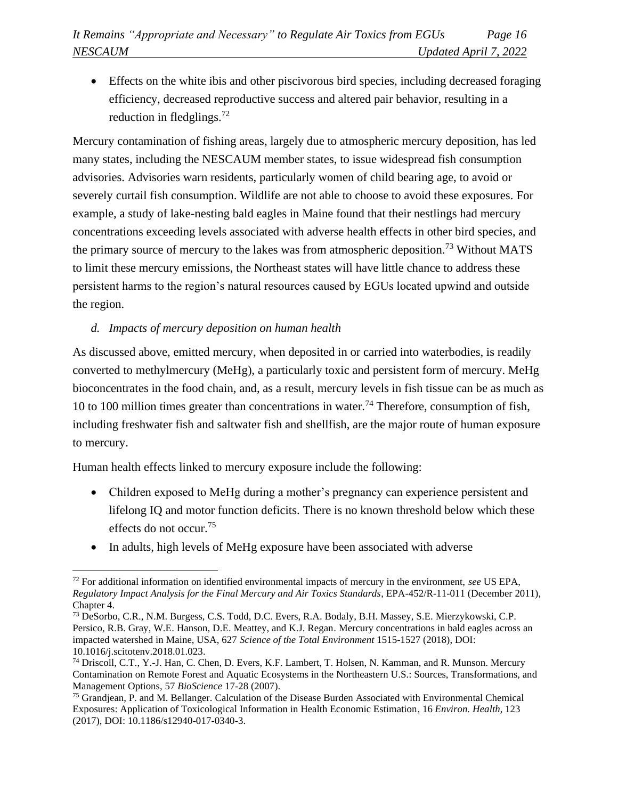• Effects on the white ibis and other piscivorous bird species, including decreased foraging efficiency, decreased reproductive success and altered pair behavior, resulting in a reduction in fledglings.<sup>72</sup>

Mercury contamination of fishing areas, largely due to atmospheric mercury deposition, has led many states, including the NESCAUM member states, to issue widespread fish consumption advisories. Advisories warn residents, particularly women of child bearing age, to avoid or severely curtail fish consumption. Wildlife are not able to choose to avoid these exposures. For example, a study of lake-nesting bald eagles in Maine found that their nestlings had mercury concentrations exceeding levels associated with adverse health effects in other bird species, and the primary source of mercury to the lakes was from atmospheric deposition.<sup>73</sup> Without MATS to limit these mercury emissions, the Northeast states will have little chance to address these persistent harms to the region's natural resources caused by EGUs located upwind and outside the region.

## *d. Impacts of mercury deposition on human health*

As discussed above, emitted mercury, when deposited in or carried into waterbodies, is readily converted to methylmercury (MeHg), a particularly toxic and persistent form of mercury. MeHg bioconcentrates in the food chain, and, as a result, mercury levels in fish tissue can be as much as 10 to 100 million times greater than concentrations in water.<sup>74</sup> Therefore, consumption of fish, including freshwater fish and saltwater fish and shellfish, are the major route of human exposure to mercury.

Human health effects linked to mercury exposure include the following:

- Children exposed to MeHg during a mother's pregnancy can experience persistent and lifelong IQ and motor function deficits. There is no known threshold below which these effects do not occur. 75
- In adults, high levels of MeHg exposure have been associated with adverse

<sup>72</sup> For additional information on identified environmental impacts of mercury in the environment, *see* US EPA, *Regulatory Impact Analysis for the Final Mercury and Air Toxics Standards*, EPA-452/R-11-011 (December 2011), Chapter 4.

<sup>73</sup> DeSorbo, C.R., N.M. Burgess, C.S. Todd, D.C. Evers, R.A. Bodaly, B.H. Massey, S.E. Mierzykowski, C.P. Persico, R.B. Gray, W.E. Hanson, D.E. Meattey, and K.J. Regan. Mercury concentrations in bald eagles across an impacted watershed in Maine, USA, 627 *Science of the Total Environment* 1515-1527 (2018), DOI: 10.1016/j.scitotenv.2018.01.023.

<sup>74</sup> Driscoll, C.T., Y.-J. Han, C. Chen, D. Evers, K.F. Lambert, T. Holsen, N. Kamman, and R. Munson. Mercury Contamination on Remote Forest and Aquatic Ecosystems in the Northeastern U.S.: Sources, Transformations, and Management Options, 57 *BioScience* 17-28 (2007).

<sup>75</sup> Grandjean, P. and M. Bellanger. Calculation of the Disease Burden Associated with Environmental Chemical Exposures: Application of Toxicological Information in Health Economic Estimation, 16 *Environ. Health*, 123 (2017), DOI: 10.1186/s12940-017-0340-3.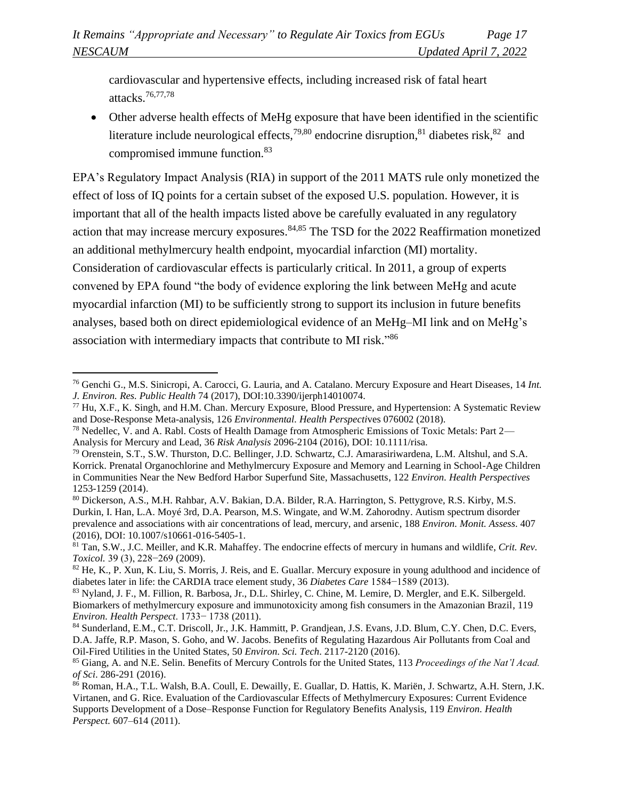cardiovascular and hypertensive effects, including increased risk of fatal heart attacks.76,77,78

• Other adverse health effects of MeHg exposure that have been identified in the scientific literature include neurological effects,  $79,80$  endocrine disruption,  $81$  diabetes risk,  $82$  and compromised immune function.<sup>83</sup>

EPA's Regulatory Impact Analysis (RIA) in support of the 2011 MATS rule only monetized the effect of loss of IQ points for a certain subset of the exposed U.S. population. However, it is important that all of the health impacts listed above be carefully evaluated in any regulatory action that may increase mercury exposures.<sup>84,85</sup> The TSD for the 2022 Reaffirmation monetized an additional methylmercury health endpoint, myocardial infarction (MI) mortality. Consideration of cardiovascular effects is particularly critical. In 2011, a group of experts convened by EPA found "the body of evidence exploring the link between MeHg and acute myocardial infarction (MI) to be sufficiently strong to support its inclusion in future benefits analyses, based both on direct epidemiological evidence of an MeHg–MI link and on MeHg's association with intermediary impacts that contribute to MI risk."86

<sup>76</sup> Genchi G., M.S. Sinicropi, A. Carocci, G. Lauria, and A. Catalano. Mercury Exposure and Heart Diseases, 14 *Int. J. Environ. Res. Public Health* 74 (2017), DOI:10.3390/ijerph14010074.

 $77$  Hu, X.F., K. Singh, and H.M. Chan. Mercury Exposure, Blood Pressure, and Hypertension: A Systematic Review and Dose-Response Meta-analysis, 126 *Environmental. Health Perspecti*ves 076002 (2018).

<sup>78</sup> Nedellec, V. and A. Rabl. Costs of Health Damage from Atmospheric Emissions of Toxic Metals: Part 2— Analysis for Mercury and Lead, 36 *Risk Analysis* 2096-2104 (2016), DOI: 10.1111/risa.

<sup>79</sup> Orenstein, S.T., S.W. Thurston, D.C. Bellinger, J.D. Schwartz, C.J. Amarasiriwardena, L.M. Altshul, and S.A. Korrick. Prenatal Organochlorine and Methylmercury Exposure and Memory and Learning in School-Age Children in Communities Near the New Bedford Harbor Superfund Site, Massachusetts, 122 *Environ. Health Perspectives* 1253-1259 (2014).

<sup>80</sup> Dickerson, A.S., M.H. Rahbar, A.V. Bakian, D.A. Bilder, R.A. Harrington, S. Pettygrove, R.S. Kirby, M.S. Durkin, I. Han, L.A. Moyé 3rd, D.A. Pearson, M.S. Wingate, and W.M. Zahorodny. Autism spectrum disorder prevalence and associations with air concentrations of lead, mercury, and arsenic, 188 *Environ. Monit. Assess*. 407 (2016), DOI: 10.1007/s10661-016-5405-1.

<sup>81</sup> Tan, S.W., J.C. Meiller, and K.R. Mahaffey. The endocrine effects of mercury in humans and wildlife, *Crit. Rev. Toxicol.* 39 (3), 228−269 (2009).

<sup>&</sup>lt;sup>82</sup> He, K., P. Xun, K. Liu, S. Morris, J. Reis, and E. Guallar. Mercury exposure in young adulthood and incidence of diabetes later in life: the CARDIA trace element study, 36 *Diabetes Care* 1584−1589 (2013).

<sup>83</sup> Nyland, J. F., M. Fillion, R. Barbosa, Jr., D.L. Shirley, C. Chine, M. Lemire, D. Mergler, and E.K. Silbergeld. Biomarkers of methylmercury exposure and immunotoxicity among fish consumers in the Amazonian Brazil, 119 *Environ. Health Perspect*. 1733− 1738 (2011).

<sup>84</sup> Sunderland, E.M., C.T. Driscoll, Jr., J.K. Hammitt, P. Grandjean, J.S. Evans, J.D. Blum, C.Y. Chen, D.C. Evers, D.A. Jaffe, R.P. Mason, S. Goho, and W. Jacobs. Benefits of Regulating Hazardous Air Pollutants from Coal and Oil-Fired Utilities in the United States, 50 *Environ. Sci. Tech*. 2117-2120 (2016).

<sup>85</sup> Giang, A. and N.E. Selin. Benefits of Mercury Controls for the United States, 113 *Proceedings of the Nat'l Acad. of Sci*. 286-291 (2016).

<sup>86</sup> Roman, H.A., T.L. Walsh, B.A. Coull, E. Dewailly, E. Guallar, D. Hattis, K. Mariën, J. Schwartz, A.H. Stern, J.K. Virtanen, and G. Rice. Evaluation of the Cardiovascular Effects of Methylmercury Exposures: Current Evidence Supports Development of a Dose–Response Function for Regulatory Benefits Analysis, 119 *Environ. Health Perspect.* 607–614 (2011).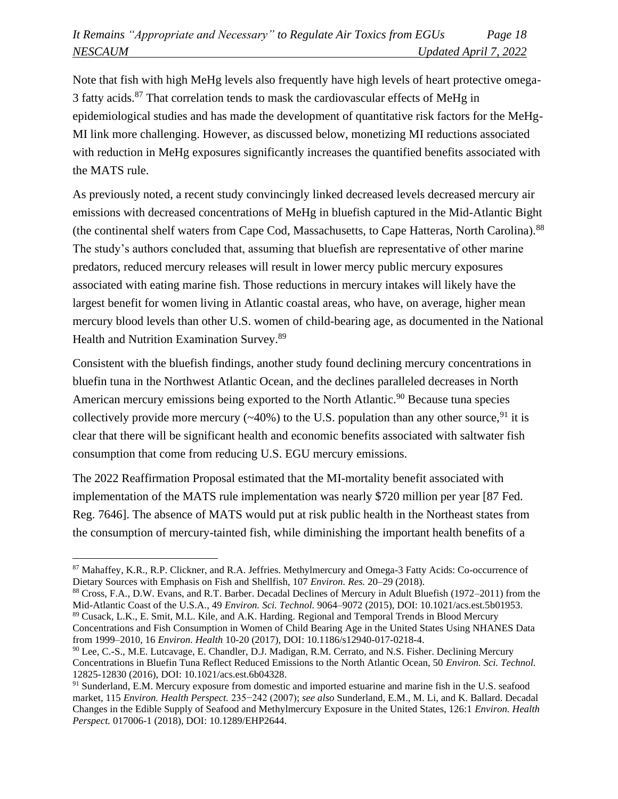Note that fish with high MeHg levels also frequently have high levels of heart protective omega-3 fatty acids.<sup>87</sup> That correlation tends to mask the cardiovascular effects of MeHg in epidemiological studies and has made the development of quantitative risk factors for the MeHg-MI link more challenging. However, as discussed below, monetizing MI reductions associated with reduction in MeHg exposures significantly increases the quantified benefits associated with the MATS rule.

As previously noted, a recent study convincingly linked decreased levels decreased mercury air emissions with decreased concentrations of MeHg in bluefish captured in the Mid-Atlantic Bight (the continental shelf waters from Cape Cod, Massachusetts, to Cape Hatteras, North Carolina).<sup>88</sup> The study's authors concluded that, assuming that bluefish are representative of other marine predators, reduced mercury releases will result in lower mercy public mercury exposures associated with eating marine fish. Those reductions in mercury intakes will likely have the largest benefit for women living in Atlantic coastal areas, who have, on average, higher mean mercury blood levels than other U.S. women of child-bearing age, as documented in the National Health and Nutrition Examination Survey.<sup>89</sup>

Consistent with the bluefish findings, another study found declining mercury concentrations in bluefin tuna in the Northwest Atlantic Ocean, and the declines paralleled decreases in North American mercury emissions being exported to the North Atlantic.<sup>90</sup> Because tuna species collectively provide more mercury ( $\sim$ 40%) to the U.S. population than any other source, <sup>91</sup> it is clear that there will be significant health and economic benefits associated with saltwater fish consumption that come from reducing U.S. EGU mercury emissions.

The 2022 Reaffirmation Proposal estimated that the MI-mortality benefit associated with implementation of the MATS rule implementation was nearly \$720 million per year [87 Fed. Reg. 7646]. The absence of MATS would put at risk public health in the Northeast states from the consumption of mercury-tainted fish, while diminishing the important health benefits of a

Concentrations and Fish Consumption in Women of Child Bearing Age in the United States Using NHANES Data from 1999–2010, 16 *Environ. Health* 10-20 (2017), DOI: 10.1186/s12940-017-0218-4.

<sup>87</sup> Mahaffey, K.R., R.P. Clickner, and R.A. Jeffries. Methylmercury and Omega-3 Fatty Acids: Co-occurrence of Dietary Sources with Emphasis on Fish and Shellfish, 107 *Environ. Res.* 20–29 (2018).

<sup>88</sup> Cross, F.A., D.W. Evans, and R.T. Barber. Decadal Declines of Mercury in Adult Bluefish (1972–2011) from the Mid-Atlantic Coast of the U.S.A., 49 *Environ. Sci. Technol.* 9064–9072 (2015), DOI: 10.1021/acs.est.5b01953. <sup>89</sup> Cusack, L.K., E. Smit, M.L. Kile, and A.K. Harding*.* Regional and Temporal Trends in Blood Mercury

<sup>90</sup> Lee, C.-S., M.E. Lutcavage, E. Chandler, D.J. Madigan, R.M. Cerrato, and N.S. Fisher. Declining Mercury Concentrations in Bluefin Tuna Reflect Reduced Emissions to the North Atlantic Ocean, 50 *Environ. Sci. Technol.* 12825-12830 (2016), DOI: 10.1021/acs.est.6b04328.

<sup>&</sup>lt;sup>91</sup> Sunderland, E.M. Mercury exposure from domestic and imported estuarine and marine fish in the U.S. seafood market, 115 *Environ. Health Perspect.* 235−242 (2007); *see also* Sunderland, E.M., M. Li, and K. Ballard. Decadal Changes in the Edible Supply of Seafood and Methylmercury Exposure in the United States, 126:1 *Environ. Health Perspect.* 017006-1 (2018), DOI: 10.1289/EHP2644.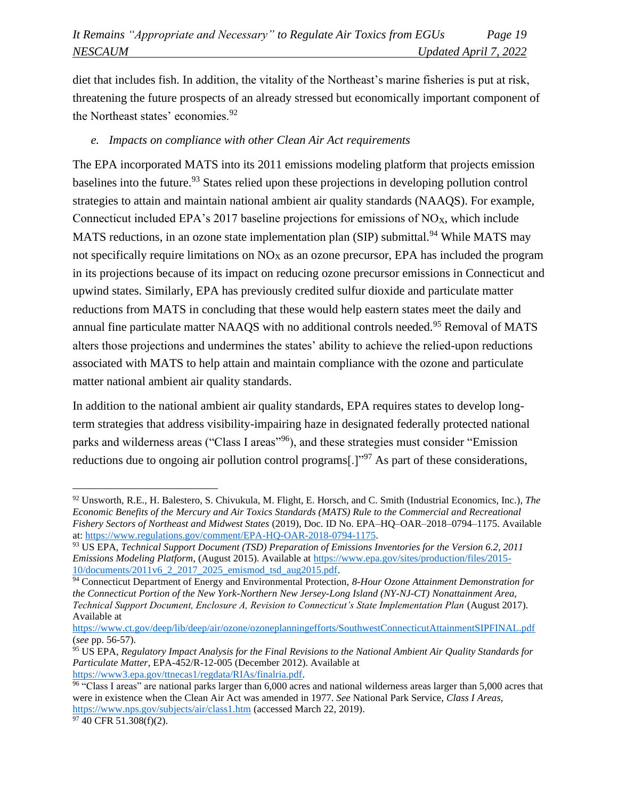diet that includes fish. In addition, the vitality of the Northeast's marine fisheries is put at risk, threatening the future prospects of an already stressed but economically important component of the Northeast states' economies.<sup>92</sup>

#### *e. Impacts on compliance with other Clean Air Act requirements*

The EPA incorporated MATS into its 2011 emissions modeling platform that projects emission baselines into the future.<sup>93</sup> States relied upon these projections in developing pollution control strategies to attain and maintain national ambient air quality standards (NAAQS). For example, Connecticut included EPA's 2017 baseline projections for emissions of  $NO<sub>X</sub>$ , which include MATS reductions, in an ozone state implementation plan (SIP) submittal.<sup>94</sup> While MATS may not specifically require limitations on  $NO<sub>X</sub>$  as an ozone precursor, EPA has included the program in its projections because of its impact on reducing ozone precursor emissions in Connecticut and upwind states. Similarly, EPA has previously credited sulfur dioxide and particulate matter reductions from MATS in concluding that these would help eastern states meet the daily and annual fine particulate matter NAAQS with no additional controls needed.<sup>95</sup> Removal of MATS alters those projections and undermines the states' ability to achieve the relied-upon reductions associated with MATS to help attain and maintain compliance with the ozone and particulate matter national ambient air quality standards.

In addition to the national ambient air quality standards, EPA requires states to develop longterm strategies that address visibility-impairing haze in designated federally protected national parks and wilderness areas ("Class I areas"<sup>96</sup>), and these strategies must consider "Emission" reductions due to ongoing air pollution control programs[.]<sup>"97</sup> As part of these considerations,

<sup>92</sup> Unsworth, R.E., H. Balestero, S. Chivukula, M. Flight, E. Horsch, and C. Smith (Industrial Economics, Inc.), *The Economic Benefits of the Mercury and Air Toxics Standards (MATS) Rule to the Commercial and Recreational Fishery Sectors of Northeast and Midwest States* (2019), Doc. ID No. EPA–HQ–OAR–2018–0794–1175. Available at: [https://www.regulations.gov/comment/EPA-HQ-OAR-2018-0794-1175.](https://www.regulations.gov/comment/EPA-HQ-OAR-2018-0794-1175)

<sup>93</sup> US EPA, *Technical Support Document (TSD) Preparation of Emissions Inventories for the Version 6.2, 2011 Emissions Modeling Platform*, (August 2015). Available a[t https://www.epa.gov/sites/production/files/2015-](https://www.epa.gov/sites/production/files/2015-10/documents/2011v6_2_2017_2025_emismod_tsd_aug2015.pdf) [10/documents/2011v6\\_2\\_2017\\_2025\\_emismod\\_tsd\\_aug2015.pdf.](https://www.epa.gov/sites/production/files/2015-10/documents/2011v6_2_2017_2025_emismod_tsd_aug2015.pdf)

<sup>94</sup> Connecticut Department of Energy and Environmental Protection, *8-Hour Ozone Attainment Demonstration for the Connecticut Portion of the New York-Northern New Jersey-Long Island (NY-NJ-CT) Nonattainment Area, Technical Support Document, Enclosure A, Revision to Connecticut's State Implementation Plan* (August 2017). Available at

<https://www.ct.gov/deep/lib/deep/air/ozone/ozoneplanningefforts/SouthwestConnecticutAttainmentSIPFINAL.pdf> (*see* pp. 56-57).

<sup>95</sup> US EPA, *Regulatory Impact Analysis for the Final Revisions to the National Ambient Air Quality Standards for Particulate Matter*, EPA-452/R-12-005 (December 2012). Available at [https://www3.epa.gov/ttnecas1/regdata/RIAs/finalria.pdf.](https://www3.epa.gov/ttnecas1/regdata/RIAs/finalria.pdf)

<sup>96</sup> "Class I areas" are national parks larger than 6,000 acres and national wilderness areas larger than 5,000 acres that were in existence when the Clean Air Act was amended in 1977. *See* National Park Service, *Class I Areas*, <https://www.nps.gov/subjects/air/class1.htm> (accessed March 22, 2019).

 $97\overline{40}$  CFR 51.308(f)(2).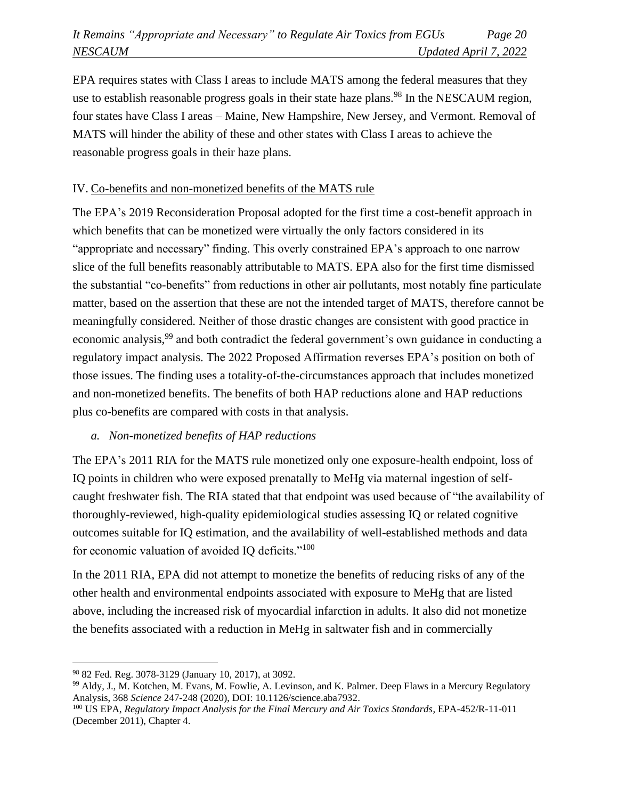EPA requires states with Class I areas to include MATS among the federal measures that they use to establish reasonable progress goals in their state haze plans.<sup>98</sup> In the NESCAUM region, four states have Class I areas – Maine, New Hampshire, New Jersey, and Vermont. Removal of MATS will hinder the ability of these and other states with Class I areas to achieve the reasonable progress goals in their haze plans.

# IV. Co-benefits and non-monetized benefits of the MATS rule

The EPA's 2019 Reconsideration Proposal adopted for the first time a cost-benefit approach in which benefits that can be monetized were virtually the only factors considered in its "appropriate and necessary" finding. This overly constrained EPA's approach to one narrow slice of the full benefits reasonably attributable to MATS. EPA also for the first time dismissed the substantial "co-benefits" from reductions in other air pollutants, most notably fine particulate matter, based on the assertion that these are not the intended target of MATS, therefore cannot be meaningfully considered. Neither of those drastic changes are consistent with good practice in economic analysis,<sup>99</sup> and both contradict the federal government's own guidance in conducting a regulatory impact analysis. The 2022 Proposed Affirmation reverses EPA's position on both of those issues. The finding uses a totality-of-the-circumstances approach that includes monetized and non-monetized benefits. The benefits of both HAP reductions alone and HAP reductions plus co-benefits are compared with costs in that analysis.

## *a. Non-monetized benefits of HAP reductions*

The EPA's 2011 RIA for the MATS rule monetized only one exposure-health endpoint, loss of IQ points in children who were exposed prenatally to MeHg via maternal ingestion of selfcaught freshwater fish. The RIA stated that that endpoint was used because of "the availability of thoroughly-reviewed, high-quality epidemiological studies assessing IQ or related cognitive outcomes suitable for IQ estimation, and the availability of well-established methods and data for economic valuation of avoided IQ deficits."<sup>100</sup>

In the 2011 RIA, EPA did not attempt to monetize the benefits of reducing risks of any of the other health and environmental endpoints associated with exposure to MeHg that are listed above, including the increased risk of myocardial infarction in adults. It also did not monetize the benefits associated with a reduction in MeHg in saltwater fish and in commercially

<sup>98</sup> 82 Fed. Reg. 3078-3129 (January 10, 2017), at 3092.

<sup>99</sup> Aldy, J., M. Kotchen, M. Evans, M. Fowlie, A. Levinson, and K. Palmer. Deep Flaws in a Mercury Regulatory Analysis, 368 *Science* 247-248 (2020), DOI: 10.1126/science.aba7932.

<sup>100</sup> US EPA, *Regulatory Impact Analysis for the Final Mercury and Air Toxics Standards*, EPA-452/R-11-011 (December 2011), Chapter 4.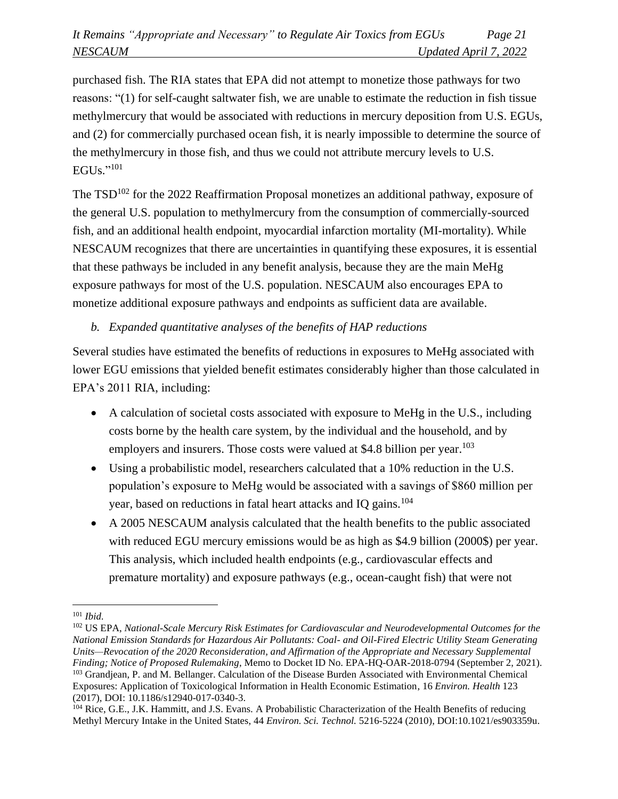purchased fish. The RIA states that EPA did not attempt to monetize those pathways for two reasons: "(1) for self-caught saltwater fish, we are unable to estimate the reduction in fish tissue methylmercury that would be associated with reductions in mercury deposition from U.S. EGUs, and (2) for commercially purchased ocean fish, it is nearly impossible to determine the source of the methylmercury in those fish, and thus we could not attribute mercury levels to U.S. EGUs." 101

The  $TSD^{102}$  for the 2022 Reaffirmation Proposal monetizes an additional pathway, exposure of the general U.S. population to methylmercury from the consumption of commercially-sourced fish, and an additional health endpoint, myocardial infarction mortality (MI-mortality). While NESCAUM recognizes that there are uncertainties in quantifying these exposures, it is essential that these pathways be included in any benefit analysis, because they are the main MeHg exposure pathways for most of the U.S. population. NESCAUM also encourages EPA to monetize additional exposure pathways and endpoints as sufficient data are available.

# *b. Expanded quantitative analyses of the benefits of HAP reductions*

Several studies have estimated the benefits of reductions in exposures to MeHg associated with lower EGU emissions that yielded benefit estimates considerably higher than those calculated in EPA's 2011 RIA, including:

- A calculation of societal costs associated with exposure to MeHg in the U.S., including costs borne by the health care system, by the individual and the household, and by employers and insurers. Those costs were valued at \$4.8 billion per year.<sup>103</sup>
- Using a probabilistic model, researchers calculated that a 10% reduction in the U.S. population's exposure to MeHg would be associated with a savings of \$860 million per year, based on reductions in fatal heart attacks and IQ gains.<sup>104</sup>
- A 2005 NESCAUM analysis calculated that the health benefits to the public associated with reduced EGU mercury emissions would be as high as \$4.9 billion (2000\$) per year. This analysis, which included health endpoints (e.g., cardiovascular effects and premature mortality) and exposure pathways (e.g., ocean-caught fish) that were not

<sup>101</sup> *Ibid.*

<sup>102</sup> US EPA, *National-Scale Mercury Risk Estimates for Cardiovascular and Neurodevelopmental Outcomes for the National Emission Standards for Hazardous Air Pollutants: Coal- and Oil-Fired Electric Utility Steam Generating Units—Revocation of the 2020 Reconsideration, and Affirmation of the Appropriate and Necessary Supplemental Finding; Notice of Proposed Rulemaking*, Memo to Docket ID No. EPA-HQ-OAR-2018-0794 (September 2, 2021). <sup>103</sup> Grandjean, P. and M. Bellanger. Calculation of the Disease Burden Associated with Environmental Chemical

Exposures: Application of Toxicological Information in Health Economic Estimation, 16 *Environ. Health* 123 (2017), DOI: 10.1186/s12940-017-0340-3.

<sup>104</sup> Rice, G.E., J.K. Hammitt, and J.S. Evans*.* A Probabilistic Characterization of the Health Benefits of reducing Methyl Mercury Intake in the United States, 44 *Environ. Sci. Technol.* 5216-5224 (2010), DOI:10.1021/es903359u.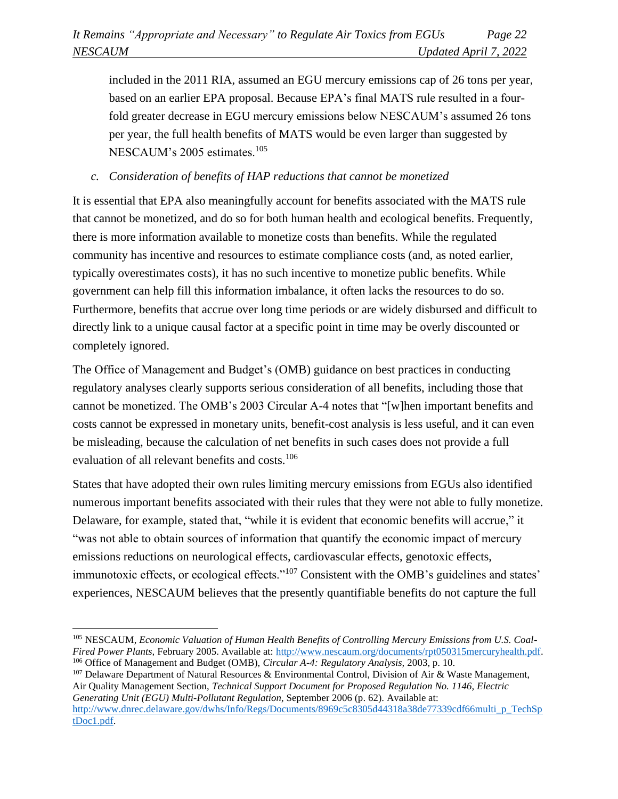included in the 2011 RIA, assumed an EGU mercury emissions cap of 26 tons per year, based on an earlier EPA proposal. Because EPA's final MATS rule resulted in a fourfold greater decrease in EGU mercury emissions below NESCAUM's assumed 26 tons per year, the full health benefits of MATS would be even larger than suggested by NESCAUM's 2005 estimates.<sup>105</sup>

# *c. Consideration of benefits of HAP reductions that cannot be monetized*

It is essential that EPA also meaningfully account for benefits associated with the MATS rule that cannot be monetized, and do so for both human health and ecological benefits. Frequently, there is more information available to monetize costs than benefits. While the regulated community has incentive and resources to estimate compliance costs (and, as noted earlier, typically overestimates costs), it has no such incentive to monetize public benefits. While government can help fill this information imbalance, it often lacks the resources to do so. Furthermore, benefits that accrue over long time periods or are widely disbursed and difficult to directly link to a unique causal factor at a specific point in time may be overly discounted or completely ignored.

The Office of Management and Budget's (OMB) guidance on best practices in conducting regulatory analyses clearly supports serious consideration of all benefits, including those that cannot be monetized. The OMB's 2003 Circular A-4 notes that "[w]hen important benefits and costs cannot be expressed in monetary units, benefit-cost analysis is less useful, and it can even be misleading, because the calculation of net benefits in such cases does not provide a full evaluation of all relevant benefits and costs.<sup>106</sup>

States that have adopted their own rules limiting mercury emissions from EGUs also identified numerous important benefits associated with their rules that they were not able to fully monetize. Delaware, for example, stated that, "while it is evident that economic benefits will accrue," it "was not able to obtain sources of information that quantify the economic impact of mercury emissions reductions on neurological effects, cardiovascular effects, genotoxic effects, immunotoxic effects, or ecological effects."<sup>107</sup> Consistent with the OMB's guidelines and states' experiences, NESCAUM believes that the presently quantifiable benefits do not capture the full

 $107$  Delaware Department of Natural Resources & Environmental Control, Division of Air & Waste Management, Air Quality Management Section, *Technical Support Document for Proposed Regulation No. 1146, Electric Generating Unit (EGU) Multi-Pollutant Regulation*, September 2006 (p. 62). Available at: [http://www.dnrec.delaware.gov/dwhs/Info/Regs/Documents/8969c5c8305d44318a38de77339cdf66multi\\_p\\_TechSp](http://www.dnrec.delaware.gov/dwhs/Info/Regs/Documents/8969c5c8305d44318a38de77339cdf66multi_p_TechSptDoc1.pdf) [tDoc1.pdf.](http://www.dnrec.delaware.gov/dwhs/Info/Regs/Documents/8969c5c8305d44318a38de77339cdf66multi_p_TechSptDoc1.pdf)

<sup>105</sup> NESCAUM, *Economic Valuation of Human Health Benefits of Controlling Mercury Emissions from U.S. Coal-Fired Power Plants,* February 2005. Available at: [http://www.nescaum.org/documents/rpt050315mercuryhealth.pdf.](http://www.nescaum.org/documents/rpt050315mercuryhealth.pdf) <sup>106</sup> Office of Management and Budget (OMB), *Circular A-4: Regulatory Analysis,* 2003, p. 10.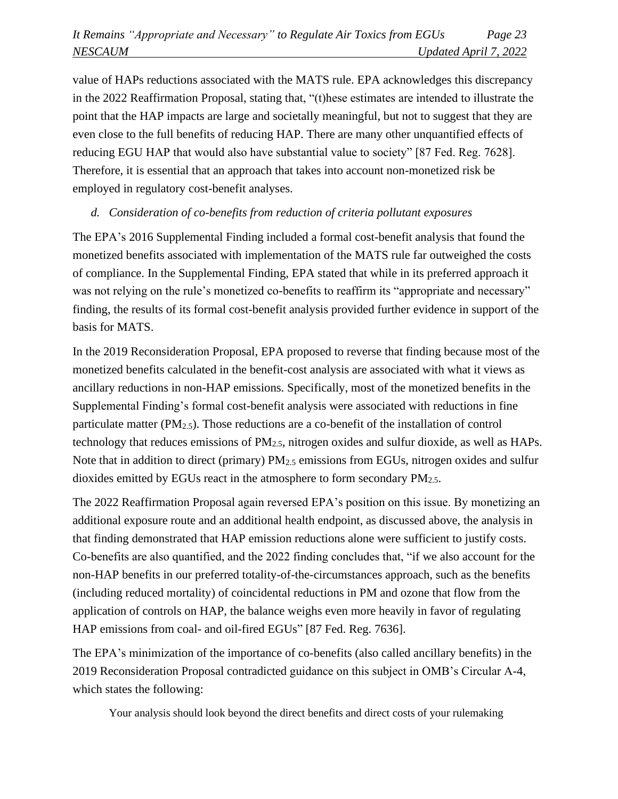value of HAPs reductions associated with the MATS rule. EPA acknowledges this discrepancy in the 2022 Reaffirmation Proposal, stating that, "(t)hese estimates are intended to illustrate the point that the HAP impacts are large and societally meaningful, but not to suggest that they are even close to the full benefits of reducing HAP. There are many other unquantified effects of reducing EGU HAP that would also have substantial value to society" [87 Fed. Reg. 7628]. Therefore, it is essential that an approach that takes into account non-monetized risk be employed in regulatory cost-benefit analyses.

# *d. Consideration of co-benefits from reduction of criteria pollutant exposures*

The EPA's 2016 Supplemental Finding included a formal cost-benefit analysis that found the monetized benefits associated with implementation of the MATS rule far outweighed the costs of compliance. In the Supplemental Finding, EPA stated that while in its preferred approach it was not relying on the rule's monetized co-benefits to reaffirm its "appropriate and necessary" finding, the results of its formal cost-benefit analysis provided further evidence in support of the basis for MATS.

In the 2019 Reconsideration Proposal, EPA proposed to reverse that finding because most of the monetized benefits calculated in the benefit-cost analysis are associated with what it views as ancillary reductions in non-HAP emissions. Specifically, most of the monetized benefits in the Supplemental Finding's formal cost-benefit analysis were associated with reductions in fine particulate matter  $(PM_{2,5})$ . Those reductions are a co-benefit of the installation of control technology that reduces emissions of PM2.5, nitrogen oxides and sulfur dioxide, as well as HAPs. Note that in addition to direct (primary) PM<sub>2.5</sub> emissions from EGUs, nitrogen oxides and sulfur dioxides emitted by EGUs react in the atmosphere to form secondary PM2.5.

The 2022 Reaffirmation Proposal again reversed EPA's position on this issue. By monetizing an additional exposure route and an additional health endpoint, as discussed above, the analysis in that finding demonstrated that HAP emission reductions alone were sufficient to justify costs. Co-benefits are also quantified, and the 2022 finding concludes that, "if we also account for the non-HAP benefits in our preferred totality-of-the-circumstances approach, such as the benefits (including reduced mortality) of coincidental reductions in PM and ozone that flow from the application of controls on HAP, the balance weighs even more heavily in favor of regulating HAP emissions from coal- and oil-fired EGUs" [87 Fed. Reg. 7636].

The EPA's minimization of the importance of co-benefits (also called ancillary benefits) in the 2019 Reconsideration Proposal contradicted guidance on this subject in OMB's Circular A-4, which states the following:

Your analysis should look beyond the direct benefits and direct costs of your rulemaking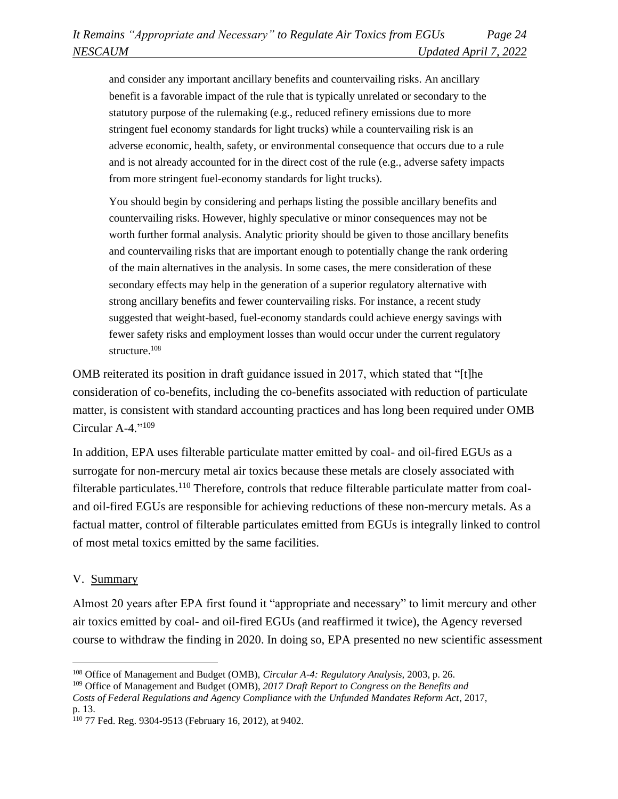and consider any important ancillary benefits and countervailing risks. An ancillary benefit is a favorable impact of the rule that is typically unrelated or secondary to the statutory purpose of the rulemaking (e.g., reduced refinery emissions due to more stringent fuel economy standards for light trucks) while a countervailing risk is an adverse economic, health, safety, or environmental consequence that occurs due to a rule and is not already accounted for in the direct cost of the rule (e.g., adverse safety impacts from more stringent fuel-economy standards for light trucks).

You should begin by considering and perhaps listing the possible ancillary benefits and countervailing risks. However, highly speculative or minor consequences may not be worth further formal analysis. Analytic priority should be given to those ancillary benefits and countervailing risks that are important enough to potentially change the rank ordering of the main alternatives in the analysis. In some cases, the mere consideration of these secondary effects may help in the generation of a superior regulatory alternative with strong ancillary benefits and fewer countervailing risks. For instance, a recent study suggested that weight-based, fuel-economy standards could achieve energy savings with fewer safety risks and employment losses than would occur under the current regulatory structure. 108

OMB reiterated its position in draft guidance issued in 2017, which stated that "[t]he consideration of co-benefits, including the co-benefits associated with reduction of particulate matter, is consistent with standard accounting practices and has long been required under OMB Circular A-4." 109

In addition, EPA uses filterable particulate matter emitted by coal- and oil-fired EGUs as a surrogate for non-mercury metal air toxics because these metals are closely associated with filterable particulates.<sup>110</sup> Therefore, controls that reduce filterable particulate matter from coaland oil-fired EGUs are responsible for achieving reductions of these non-mercury metals. As a factual matter, control of filterable particulates emitted from EGUs is integrally linked to control of most metal toxics emitted by the same facilities.

#### V. Summary

Almost 20 years after EPA first found it "appropriate and necessary" to limit mercury and other air toxics emitted by coal- and oil-fired EGUs (and reaffirmed it twice), the Agency reversed course to withdraw the finding in 2020. In doing so, EPA presented no new scientific assessment

<sup>108</sup> Office of Management and Budget (OMB), *Circular A-4: Regulatory Analysis,* 2003, p. 26.

<sup>109</sup> Office of Management and Budget (OMB), *2017 Draft Report to Congress on the Benefits and* 

*Costs of Federal Regulations and Agency Compliance with the Unfunded Mandates Reform Act*, 2017, p. 13.

<sup>110</sup> 77 Fed. Reg. 9304-9513 (February 16, 2012), at 9402.